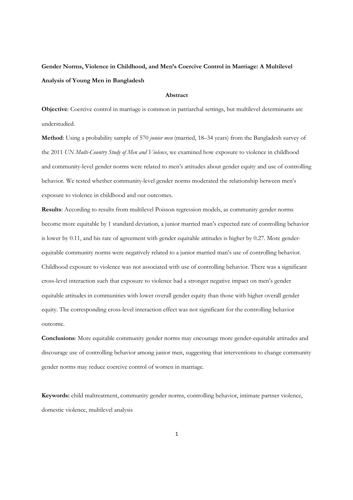# **Gender Norms, Violence in Childhood, and Men's Coercive Control in Marriage: A Multilevel Analysis of Young Men in Bangladesh**

# **Abstract**

**Objective**: Coercive control in marriage is common in patriarchal settings, but multilevel determinants are understudied.

**Method**: Using a probability sample of 570 *junior men* (married, 18–34 years) from the Bangladesh survey of the 2011 *UN Multi-Country Study of Men and Violence*, we examined how exposure to violence in childhood and community-level gender norms were related to men's attitudes about gender equity and use of controlling behavior. We tested whether community-level gender norms moderated the relationship between men's exposure to violence in childhood and our outcomes.

**Results**: According to results from multilevel Poisson regression models, as community gender norms become more equitable by 1 standard deviation, a junior married man's expected rate of controlling behavior is lower by 0.11, and his rate of agreement with gender equitable attitudes is higher by 0.27. More genderequitable community norms were negatively related to a junior married man's use of controlling behavior. Childhood exposure to violence was not associated with use of controlling behavior. There was a significant cross-level interaction such that exposure to violence had a stronger negative impact on men's gender equitable attitudes in communities with lower overall gender equity than those with higher overall gender equity. The corresponding cross-level interaction effect was not significant for the controlling behavior outcome.

**Conclusions**: More equitable community gender norms may encourage more gender-equitable attitudes and discourage use of controlling behavior among junior men, suggesting that interventions to change community gender norms may reduce coercive control of women in marriage.

**Keywords:** child maltreatment, community gender norms, controlling behavior, intimate partner violence, domestic violence, multilevel analysis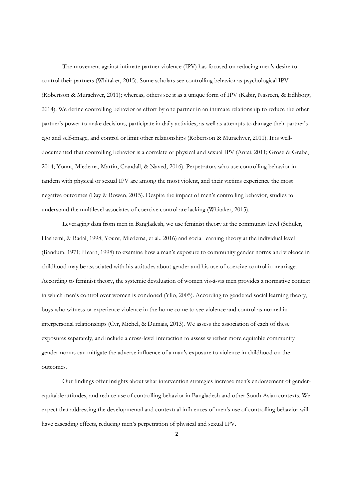The movement against intimate partner violence (IPV) has focused on reducing men's desire to control their partners (Whitaker, 2015). Some scholars see controlling behavior as psychological IPV (Robertson & Murachver, 2011); whereas, others see it as a unique form of IPV (Kabir, Nasreen, & Edhborg, 2014). We define controlling behavior as effort by one partner in an intimate relationship to reduce the other partner's power to make decisions, participate in daily activities, as well as attempts to damage their partner's ego and self-image, and control or limit other relationships (Robertson & Murachver, 2011). It is welldocumented that controlling behavior is a correlate of physical and sexual IPV (Antai, 2011; Grose & Grabe, 2014; Yount, Miedema, Martin, Crandall, & Naved, 2016). Perpetrators who use controlling behavior in tandem with physical or sexual IPV are among the most violent, and their victims experience the most negative outcomes (Day & Bowen, 2015). Despite the impact of men's controlling behavior, studies to understand the multilevel associates of coercive control are lacking (Whitaker, 2015).

Leveraging data from men in Bangladesh, we use feminist theory at the community level (Schuler, Hashemi, & Badal, 1998; Yount, Miedema, et al., 2016) and social learning theory at the individual level (Bandura, 1971; Hearn, 1998) to examine how a man's exposure to community gender norms and violence in childhood may be associated with his attitudes about gender and his use of coercive control in marriage. According to feminist theory, the systemic devaluation of women vis-à-vis men provides a normative context in which men's control over women is condoned (Yllo, 2005). According to gendered social learning theory, boys who witness or experience violence in the home come to see violence and control as normal in interpersonal relationships (Cyr, Michel, & Dumais, 2013). We assess the association of each of these exposures separately, and include a cross-level interaction to assess whether more equitable community gender norms can mitigate the adverse influence of a man's exposure to violence in childhood on the outcomes.

Our findings offer insights about what intervention strategies increase men's endorsement of genderequitable attitudes, and reduce use of controlling behavior in Bangladesh and other South Asian contexts. We expect that addressing the developmental and contextual influences of men's use of controlling behavior will have cascading effects, reducing men's perpetration of physical and sexual IPV.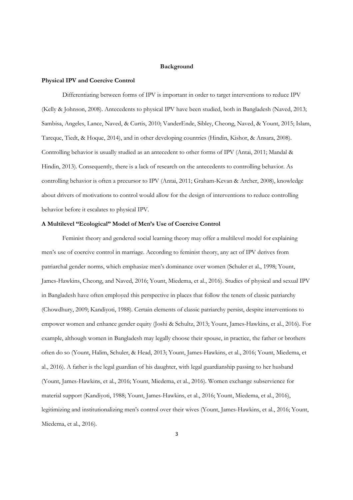#### **Background**

#### **Physical IPV and Coercive Control**

 Differentiating between forms of IPV is important in order to target interventions to reduce IPV (Kelly & Johnson, 2008). Antecedents to physical IPV have been studied, both in Bangladesh (Naved, 2013; Sambisa, Angeles, Lance, Naved, & Curtis, 2010; VanderEnde, Sibley, Cheong, Naved, & Yount, 2015; Islam, Tareque, Tiedt, & Hoque, 2014), and in other developing countries (Hindin, Kishor, & Ansara, 2008). Controlling behavior is usually studied as an antecedent to other forms of IPV (Antai, 2011; Mandal & Hindin, 2013). Consequently, there is a lack of research on the antecedents to controlling behavior. As controlling behavior is often a precursor to IPV (Antai, 2011; Graham-Kevan & Archer, 2008), knowledge about drivers of motivations to control would allow for the design of interventions to reduce controlling behavior before it escalates to physical IPV.

# **A Multilevel "Ecological" Model of Men's Use of Coercive Control**

Feminist theory and gendered social learning theory may offer a multilevel model for explaining men's use of coercive control in marriage. According to feminist theory, any act of IPV derives from patriarchal gender norms, which emphasize men's dominance over women (Schuler et al., 1998; Yount, James-Hawkins, Cheong, and Naved, 2016; Yount, Miedema, et al., 2016). Studies of physical and sexual IPV in Bangladesh have often employed this perspective in places that follow the tenets of classic patriarchy (Chowdhury, 2009; Kandiyoti, 1988). Certain elements of classic patriarchy persist, despite interventions to empower women and enhance gender equity (Joshi & Schultz, 2013; Yount, James-Hawkins, et al., 2016). For example, although women in Bangladesh may legally choose their spouse, in practice, the father or brothers often do so (Yount, Halim, Schuler, & Head, 2013; Yount, James-Hawkins, et al., 2016; Yount, Miedema, et al., 2016). A father is the legal guardian of his daughter, with legal guardianship passing to her husband (Yount, James-Hawkins, et al., 2016; Yount, Miedema, et al., 2016). Women exchange subservience for material support (Kandiyoti, 1988; Yount, James-Hawkins, et al., 2016; Yount, Miedema, et al., 2016), legitimizing and institutionalizing men's control over their wives (Yount, James-Hawkins, et al., 2016; Yount, Miedema, et al., 2016).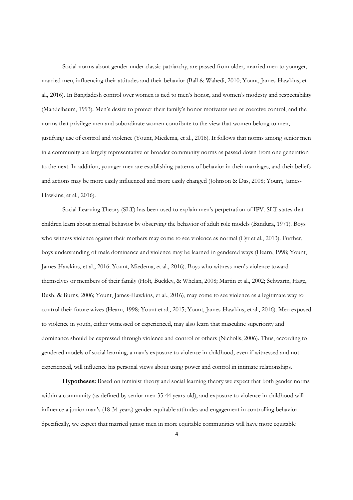Social norms about gender under classic patriarchy, are passed from older, married men to younger, married men, influencing their attitudes and their behavior (Ball & Wahedi, 2010; Yount, James-Hawkins, et al., 2016). In Bangladesh control over women is tied to men's honor, and women's modesty and respectability (Mandelbaum, 1993). Men's desire to protect their family's honor motivates use of coercive control, and the norms that privilege men and subordinate women contribute to the view that women belong to men, justifying use of control and violence (Yount, Miedema, et al., 2016). It follows that norms among senior men in a community are largely representative of broader community norms as passed down from one generation to the next. In addition, younger men are establishing patterns of behavior in their marriages, and their beliefs and actions may be more easily influenced and more easily changed (Johnson & Das, 2008; Yount, James-Hawkins, et al., 2016).

Social Learning Theory (SLT) has been used to explain men's perpetration of IPV. SLT states that children learn about normal behavior by observing the behavior of adult role models (Bandura, 1971). Boys who witness violence against their mothers may come to see violence as normal (Cyr et al., 2013). Further, boys understanding of male dominance and violence may be learned in gendered ways (Hearn, 1998; Yount, James-Hawkins, et al., 2016; Yount, Miedema, et al., 2016). Boys who witness men's violence toward themselves or members of their family (Holt, Buckley, & Whelan, 2008; Martin et al., 2002; Schwartz, Hage, Bush, & Burns, 2006; Yount, James-Hawkins, et al., 2016), may come to see violence as a legitimate way to control their future wives (Hearn, 1998; Yount et al., 2015; Yount, James-Hawkins, et al., 2016). Men exposed to violence in youth, either witnessed or experienced, may also learn that masculine superiority and dominance should be expressed through violence and control of others (Nicholls, 2006). Thus, according to gendered models of social learning, a man's exposure to violence in childhood, even if witnessed and not experienced, will influence his personal views about using power and control in intimate relationships.

**Hypotheses:** Based on feminist theory and social learning theory we expect that both gender norms within a community (as defined by senior men 35-44 years old), and exposure to violence in childhood will influence a junior man's (18-34 years) gender equitable attitudes and engagement in controlling behavior. Specifically, we expect that married junior men in more equitable communities will have more equitable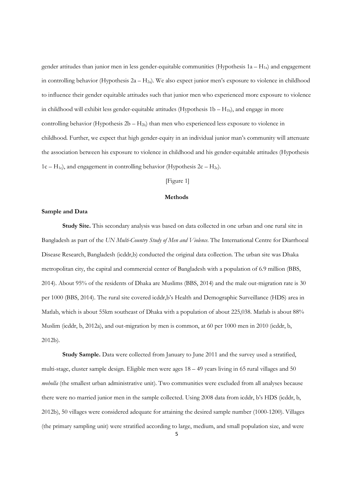gender attitudes than junior men in less gender-equitable communities (Hypothesis  $1a - H_{1a}$ ) and engagement in controlling behavior (Hypothesis  $2a - H_{2a}$ ). We also expect junior men's exposure to violence in childhood to influence their gender equitable attitudes such that junior men who experienced more exposure to violence in childhood will exhibit less gender-equitable attitudes (Hypothesis  $1b - H_{1b}$ ), and engage in more controlling behavior (Hypothesis  $2b - H_{2b}$ ) than men who experienced less exposure to violence in childhood. Further, we expect that high gender-equity in an individual junior man's community will attenuate the association between his exposure to violence in childhood and his gender-equitable attitudes (Hypothesis  $1c - H_{1c}$ , and engagement in controlling behavior (Hypothesis  $2c - H_{2c}$ ).

# [Figure 1]

# **Methods**

# **Sample and Data**

**Study Site.** This secondary analysis was based on data collected in one urban and one rural site in Bangladesh as part of the *UN Multi-Country Study of Men and Violence*. The International Centre for Diarrhoeal Disease Research, Bangladesh (icddr,b) conducted the original data collection. The urban site was Dhaka metropolitan city, the capital and commercial center of Bangladesh with a population of 6.9 million (BBS, 2014). About 95% of the residents of Dhaka are Muslims (BBS, 2014) and the male out-migration rate is 30 per 1000 (BBS, 2014). The rural site covered icddr,b's Health and Demographic Surveillance (HDS) area in Matlab, which is about 55km southeast of Dhaka with a population of about 225,038. Matlab is about 88% Muslim (icddr, b, 2012a), and out-migration by men is common, at 60 per 1000 men in 2010 (icddr, b, 2012b).

**Study Sample.** Data were collected from January to June 2011 and the survey used a stratified, multi-stage, cluster sample design. Eligible men were ages 18 – 49 years living in 65 rural villages and 50 *moholla* (the smallest urban administrative unit). Two communities were excluded from all analyses because there were no married junior men in the sample collected. Using 2008 data from icddr, b's HDS (icddr, b, 2012b), 50 villages were considered adequate for attaining the desired sample number (1000-1200). Villages (the primary sampling unit) were stratified according to large, medium, and small population size, and were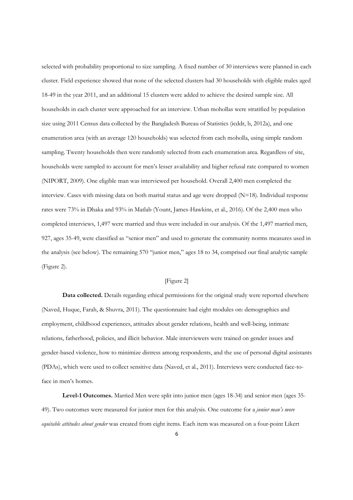selected with probability proportional to size sampling. A fixed number of 30 interviews were planned in each cluster. Field experience showed that none of the selected clusters had 30 households with eligible males aged 18-49 in the year 2011, and an additional 15 clusters were added to achieve the desired sample size. All households in each cluster were approached for an interview. Urban mohollas were stratified by population size using 2011 Census data collected by the Bangladesh Bureau of Statistics (icddr, b, 2012a), and one enumeration area (with an average 120 households) was selected from each moholla, using simple random sampling. Twenty households then were randomly selected from each enumeration area. Regardless of site, households were sampled to account for men's lesser availability and higher refusal rate compared to women (NIPORT, 2009). One eligible man was interviewed per household. Overall 2,400 men completed the interview. Cases with missing data on both marital status and age were dropped  $(N=18)$ . Individual response rates were 73% in Dhaka and 93% in Matlab (Yount, James-Hawkins, et al., 2016). Of the 2,400 men who completed interviews, 1,497 were married and thus were included in our analysis. Of the 1,497 married men, 927, ages 35-49, were classified as "senior men" and used to generate the community norms measures used in the analysis (see below). The remaining 570 "junior men," ages 18 to 34, comprised our final analytic sample (Figure 2).

#### [Figure 2]

**Data collected.** Details regarding ethical permissions for the original study were reported elsewhere (Naved, Huque, Farah, & Shuvra, 2011). The questionnaire had eight modules on: demographics and employment, childhood experiences, attitudes about gender relations, health and well-being, intimate relations, fatherhood, policies, and illicit behavior. Male interviewers were trained on gender issues and gender-based violence, how to minimize distress among respondents, and the use of personal digital assistants (PDAs), which were used to collect sensitive data (Naved, et al., 2011). Interviews were conducted face-toface in men's homes.

**Level-1 Outcomes.** Married Men were split into junior men (ages 18-34) and senior men (ages 35- 49). Two outcomes were measured for junior men for this analysis. One outcome for a *junior man's more equitable attitudes about gender* was created from eight items. Each item was measured on a four-point Likert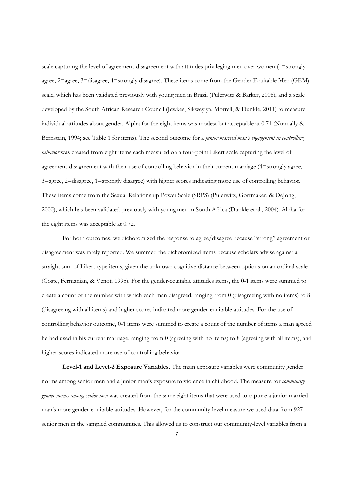scale capturing the level of agreement-disagreement with attitudes privileging men over women (1=strongly agree, 2=agree, 3=disagree, 4=strongly disagree). These items come from the Gender Equitable Men (GEM) scale, which has been validated previously with young men in Brazil (Pulerwitz & Barker, 2008), and a scale developed by the South African Research Council (Jewkes, Sikweyiya, Morrell, & Dunkle, 2011) to measure individual attitudes about gender. Alpha for the eight items was modest but acceptable at 0.71 (Nunnally & Bernstein, 1994; see Table 1 for items). The second outcome for a *junior married man's engagement in controlling behavior* was created from eight items each measured on a four-point Likert scale capturing the level of agreement-disagreement with their use of controlling behavior in their current marriage (4=strongly agree, 3=agree, 2=disagree, 1=strongly disagree) with higher scores indicating more use of controlling behavior. These items come from the Sexual Relationship Power Scale (SRPS) (Pulerwitz, Gortmaker, & DeJong, 2000), which has been validated previously with young men in South Africa (Dunkle et al., 2004). Alpha for the eight items was acceptable at 0.72.

For both outcomes, we dichotomized the response to agree/disagree because "strong" agreement or disagreement was rarely reported. We summed the dichotomized items because scholars advise against a straight sum of Likert-type items, given the unknown cognitive distance between options on an ordinal scale (Coste, Fermanian, & Venot, 1995). For the gender-equitable attitudes items, the 0-1 items were summed to create a count of the number with which each man disagreed, ranging from 0 (disagreeing with no items) to 8 (disagreeing with all items) and higher scores indicated more gender-equitable attitudes. For the use of controlling behavior outcome, 0-1 items were summed to create a count of the number of items a man agreed he had used in his current marriage, ranging from 0 (agreeing with no items) to 8 (agreeing with all items), and higher scores indicated more use of controlling behavior.

**Level-1 and Level-2 Exposure Variables.** The main exposure variables were community gender norms among senior men and a junior man's exposure to violence in childhood. The measure for *community gender norms among senior men* was created from the same eight items that were used to capture a junior married man's more gender-equitable attitudes. However, for the community-level measure we used data from 927 senior men in the sampled communities. This allowed us to construct our community-level variables from a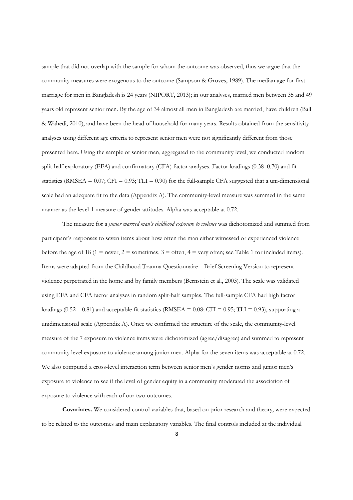sample that did not overlap with the sample for whom the outcome was observed, thus we argue that the community measures were exogenous to the outcome (Sampson & Groves, 1989). The median age for first marriage for men in Bangladesh is 24 years (NIPORT, 2013); in our analyses, married men between 35 and 49 years old represent senior men. By the age of 34 almost all men in Bangladesh are married, have children (Ball & Wahedi, 2010), and have been the head of household for many years. Results obtained from the sensitivity analyses using different age criteria to represent senior men were not significantly different from those presented here. Using the sample of senior men, aggregated to the community level, we conducted random split-half exploratory (EFA) and confirmatory (CFA) factor analyses. Factor loadings (0.38–0.70) and fit statistics (RMSEA =  $0.07$ ; CFI =  $0.93$ ; TLI =  $0.90$ ) for the full-sample CFA suggested that a uni-dimensional scale had an adequate fit to the data (Appendix A). The community-level measure was summed in the same manner as the level-1 measure of gender attitudes. Alpha was acceptable at 0.72.

The measure for a *junior married man's childhood exposure to violence* was dichotomized and summed from participant's responses to seven items about how often the man either witnessed or experienced violence before the age of 18 (1 = never, 2 = sometimes, 3 = often, 4 = very often; see Table 1 for included items). Items were adapted from the Childhood Trauma Questionnaire – Brief Screening Version to represent violence perpetrated in the home and by family members (Bernstein et al., 2003). The scale was validated using EFA and CFA factor analyses in random split-half samples. The full-sample CFA had high factor loadings  $(0.52 - 0.81)$  and acceptable fit statistics (RMSEA = 0.08; CFI = 0.95; TLI = 0.93), supporting a unidimensional scale (Appendix A). Once we confirmed the structure of the scale, the community-level measure of the 7 exposure to violence items were dichotomized (agree/disagree) and summed to represent community level exposure to violence among junior men. Alpha for the seven items was acceptable at 0.72. We also computed a cross-level interaction term between senior men's gender norms and junior men's exposure to violence to see if the level of gender equity in a community moderated the association of exposure to violence with each of our two outcomes.

**Covariates.** We considered control variables that, based on prior research and theory, were expected to be related to the outcomes and main explanatory variables. The final controls included at the individual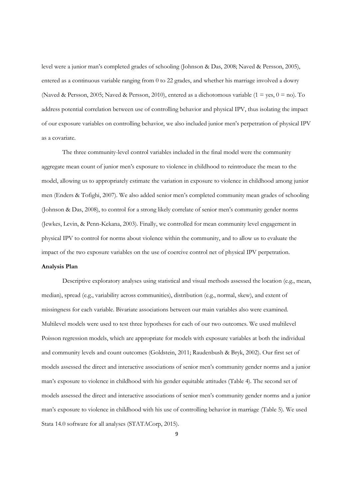level were a junior man's completed grades of schooling (Johnson & Das, 2008; Naved & Persson, 2005), entered as a continuous variable ranging from 0 to 22 grades, and whether his marriage involved a dowry (Naved & Persson, 2005; Naved & Persson, 2010), entered as a dichotomous variable (1 = yes,  $0 =$  no). To address potential correlation between use of controlling behavior and physical IPV, thus isolating the impact of our exposure variables on controlling behavior, we also included junior men's perpetration of physical IPV as a covariate.

The three community-level control variables included in the final model were the community aggregate mean count of junior men's exposure to violence in childhood to reintroduce the mean to the model, allowing us to appropriately estimate the variation in exposure to violence in childhood among junior men (Enders & Tofighi, 2007). We also added senior men's completed community mean grades of schooling (Johnson & Das, 2008), to control for a strong likely correlate of senior men's community gender norms (Jewkes, Levin, & Penn-Kekana, 2003). Finally, we controlled for mean community level engagement in physical IPV to control for norms about violence within the community, and to allow us to evaluate the impact of the two exposure variables on the use of coercive control net of physical IPV perpetration.

#### **Analysis Plan**

Descriptive exploratory analyses using statistical and visual methods assessed the location (e.g., mean, median), spread (e.g., variability across communities), distribution (e.g., normal, skew), and extent of missingness for each variable. Bivariate associations between our main variables also were examined. Multilevel models were used to test three hypotheses for each of our two outcomes. We used multilevel Poisson regression models, which are appropriate for models with exposure variables at both the individual and community levels and count outcomes (Goldstein, 2011; Raudenbush & Bryk, 2002). Our first set of models assessed the direct and interactive associations of senior men's community gender norms and a junior man's exposure to violence in childhood with his gender equitable attitudes (Table 4). The second set of models assessed the direct and interactive associations of senior men's community gender norms and a junior man's exposure to violence in childhood with his use of controlling behavior in marriage (Table 5). We used Stata 14.0 software for all analyses (STATACorp, 2015).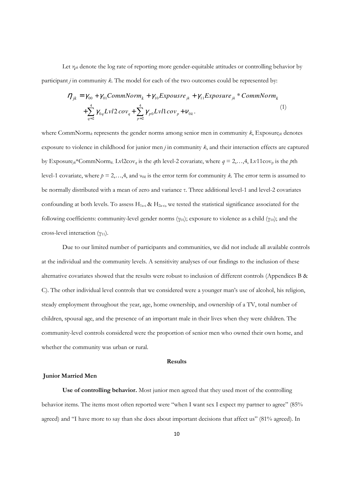Let  $\eta_{ik}$  denote the log rate of reporting more gender-equitable attitudes or controlling behavior by participant *j* in community *k.* The model for each of the two outcomes could be represented by:

$$
\eta_{jk} = \gamma_{00} + \gamma_{01}CommNorm_k + \gamma_{10}Expourse_{jk} + \gamma_{11}Expasure_{jk} * CommNorm_k + \sum_{q=2}^{4} \gamma_{0q}Lvl2cov_q + \sum_{p=2}^{4} \gamma_{p0}Lvl1cov_p + \nu_{0k}.
$$
\n(1)

where CommNorm*<sup>k</sup>* represents the gender norms among senior men in community *k*, Exposure*jk* denotes exposure to violence in childhood for junior men *j* in community *k*, and their interaction effects are captured by Exposure<sub>jk</sub>\*CommNorm<sub>k</sub>. Lvl2cov<sub>q</sub> is the *q*th level-2 covariate, where  $q = 2,...,4$ , Lv11cov<sub>p</sub> is the *p*th level-1 covariate, where *p* = 2,…,4, and ν*0k* is the error term for community *k.* The error term is assumed to be normally distributed with a mean of zero and variance τ. Three additional level-1 and level-2 covariates confounding at both levels. To assess  $H_{1a-c}$  &  $H_{2a-c}$ , we tested the statistical significance associated for the following coefficients: community-level gender norms ( $\gamma_{01}$ ); exposure to violence as a child ( $\gamma_{10}$ ); and the cross-level interaction  $(y_{11})$ .

Due to our limited number of participants and communities, we did not include all available controls at the individual and the community levels. A sensitivity analyses of our findings to the inclusion of these alternative covariates showed that the results were robust to inclusion of different controls (Appendices B & C). The other individual level controls that we considered were a younger man's use of alcohol, his religion, steady employment throughout the year, age, home ownership, and ownership of a TV, total number of children, spousal age, and the presence of an important male in their lives when they were children. The community-level controls considered were the proportion of senior men who owned their own home, and whether the community was urban or rural.

# **Results**

# **Junior Married Men**

**Use of controlling behavior.** Most junior men agreed that they used most of the controlling behavior items. The items most often reported were "when I want sex I expect my partner to agree" (85% agreed) and "I have more to say than she does about important decisions that affect us" (81% agreed). In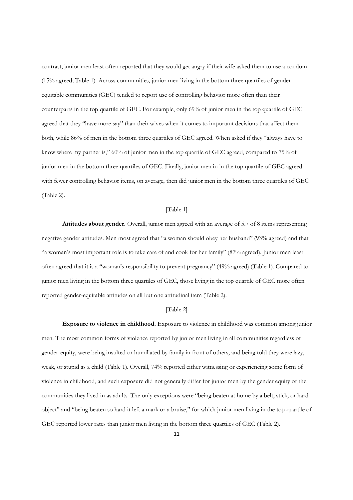contrast, junior men least often reported that they would get angry if their wife asked them to use a condom (15% agreed; Table 1). Across communities, junior men living in the bottom three quartiles of gender equitable communities (GEC) tended to report use of controlling behavior more often than their counterparts in the top quartile of GEC. For example, only 69% of junior men in the top quartile of GEC agreed that they "have more say" than their wives when it comes to important decisions that affect them both, while 86% of men in the bottom three quartiles of GEC agreed. When asked if they "always have to know where my partner is," 60% of junior men in the top quartile of GEC agreed, compared to 75% of junior men in the bottom three quartiles of GEC. Finally, junior men in in the top quartile of GEC agreed with fewer controlling behavior items, on average, then did junior men in the bottom three quartiles of GEC (Table 2).

## [Table 1]

**Attitudes about gender.** Overall, junior men agreed with an average of 5.7 of 8 items representing negative gender attitudes. Men most agreed that "a woman should obey her husband" (93% agreed) and that "a woman's most important role is to take care of and cook for her family" (87% agreed). Junior men least often agreed that it is a "woman's responsibility to prevent pregnancy" (49% agreed) (Table 1). Compared to junior men living in the bottom three quartiles of GEC, those living in the top quartile of GEC more often reported gender-equitable attitudes on all but one attitudinal item (Table 2).

# [Table 2]

**Exposure to violence in childhood.** Exposure to violence in childhood was common among junior men. The most common forms of violence reported by junior men living in all communities regardless of gender-equity, were being insulted or humiliated by family in front of others, and being told they were lazy, weak, or stupid as a child (Table 1). Overall, 74% reported either witnessing or experiencing some form of violence in childhood, and such exposure did not generally differ for junior men by the gender equity of the communities they lived in as adults. The only exceptions were "being beaten at home by a belt, stick, or hard object" and "being beaten so hard it left a mark or a bruise," for which junior men living in the top quartile of GEC reported lower rates than junior men living in the bottom three quartiles of GEC (Table 2).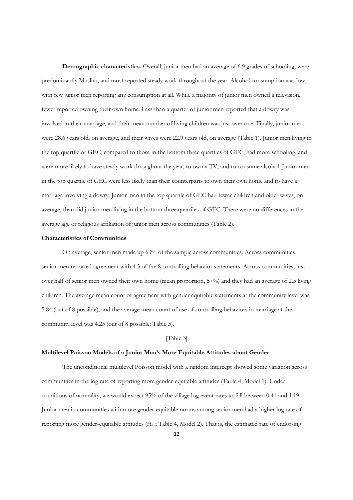**Demographic characteristics.** Overall, junior men had an average of 6.9 grades of schooling, were predominantly Muslim, and most reported steady work throughout the year. Alcohol consumption was low, with few junior men reporting any consumption at all. While a majority of junior men owned a television, fewer reported owning their own home. Less than a quarter of junior men reported that a dowry was involved in their marriage, and their mean number of living children was just over one. Finally, junior men were 28.6 years old, on average, and their wives were 22.9 years old, on average (Table 1). Junior men living in the top quartile of GEC, compared to those in the bottom three quartiles of GEC, had more schooling, and were more likely to have steady work throughout the year, to own a TV, and to consume alcohol. Junior men in the top quartile of GEC were less likely than their counterparts to own their own home and to have a marriage involving a dowry. Junior men in the top quartile of GEC had fewer children and older wives, on average, than did junior men living in the bottom three quartiles of GEC. There were no differences in the average age or religious affiliation of junior men across communities (Table 2).

#### **Characteristics of Communities**

On average, senior men made up 63% of the sample across communities. Across communities, senior men reported agreement with 4.3 of the 8 controlling behavior statements. Across communities, just over half of senior men owned their own home (mean proportion, 57%) and they had an average of 2.5 living children. The average mean count of agreement with gender equitable statements at the community level was 5.84 (out of 8 possible), and the average mean count of use of controlling behaviors in marriage at the community level was 4.25 (out of 8 possible; Table 3).

#### [Table 3]

#### **Multilevel Poisson Models of a Junior Man's More Equitable Attitudes about Gender**

The unconditional multilevel Poisson model with a random intercept showed some variation across communities in the log rate of reporting more gender-equitable attitudes (Table 4, Model 1). Under conditions of normality, we would expect 95% of the village log event rates to fall between 0.41 and 1.19. Junior men in communities with more gender-equitable norms among senior men had a higher log rate of reporting more gender-equitable attitudes  $(H_{1a}$ ; Table 4, Model 2). That is, the estimated rate of endorsing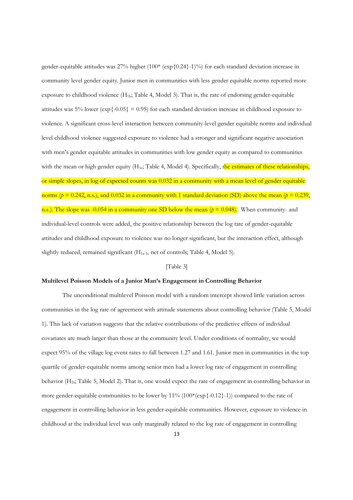gender-equitable attitudes was 27% higher (100\* (exp{0.24}-1)%) for each standard deviation increase in community level gender equity. Junior men in communities with less gender equitable norms reported more exposure to childhood violence  $(H_{1b}$ ; Table 4, Model 3). That is, the rate of endorsing gender-equitable attitudes was 5% lower ( $\exp\{-0.05\} = 0.95$ ) for each standard deviation increase in childhood exposure to violence. A significant cross-level interaction between community-level gender equitable norms and individual level childhood violence suggested exposure to violence had a stronger and significant negative association with men's gender equitable attitudes in communities with low gender equity as compared to communities with the mean or high gender equity  $(H_{1c}$ ; Table 4, Model 4). Specifically, the estimates of these relationships, or simple slopes, in log of expected counts was 0.032 in a community with a mean level of gender equitable norms ( $p = 0.242$ , n.s.), and 0.032 in a community with 1 standard deviation (SD) above the mean ( $p = 0.239$ , n.s.). The slope was  $-0.054$  in a community one SD below the mean ( $p = 0.048$ ). When community- and individual-level controls were added, the positive relationship between the log rate of gender-equitable attitudes and childhood exposure to violence was no longer significant, but the interaction effect, although slightly reduced, remained significant (H1a-1c net of controls; Table 4, Model 5).

#### [Table 3]

#### **Multilevel Poisson Models of a Junior Man's Engagement in Controlling Behavior**

The unconditional multilevel Poisson model with a random intercept showed little variation across communities in the log rate of agreement with attitude statements about controlling behavior (Table 5, Model 1). This lack of variation suggests that the relative contributions of the predictive effects of individual covariates are much larger than those at the community level. Under conditions of normality, we would expect 95% of the village log event rates to fall between 1.27 and 1.61. Junior men in communities in the top quartile of gender-equitable norms among senior men had a lower log rate of engagement in controlling behavior (H2a; Table 5, Model 2). That is, one would expect the rate of engagement in controlling behavior in more gender-equitable communities to be lower by  $11\%$  ( $100*(\exp{\{-0.12\}}-1)$ ) compared to the rate of engagement in controlling behavior in less gender-equitable communities. However, exposure to violence in childhood at the individual level was only marginally related to the log rate of engagement in controlling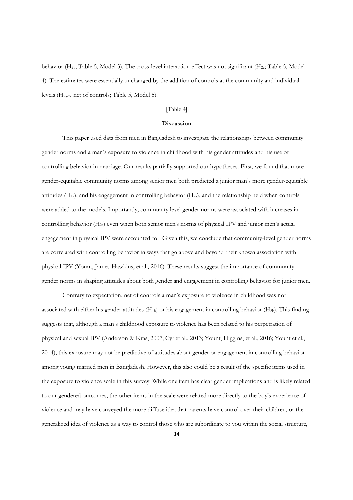behavior (H<sub>2b</sub>; Table 5, Model 3). The cross-level interaction effect was not significant (H<sub>2c</sub>; Table 5, Model 4). The estimates were essentially unchanged by the addition of controls at the community and individual levels (H2a-2c net of controls; Table 5, Model 5).

# [Table 4]

# **Discussion**

This paper used data from men in Bangladesh to investigate the relationships between community gender norms and a man's exposure to violence in childhood with his gender attitudes and his use of controlling behavior in marriage. Our results partially supported our hypotheses. First, we found that more gender-equitable community norms among senior men both predicted a junior man's more gender-equitable attitudes  $(H_{1a})$ , and his engagement in controlling behavior  $(H_{2a})$ , and the relationship held when controls were added to the models. Importantly, community level gender norms were associated with increases in controlling behavior (H<sub>2a</sub>) even when both senior men's norms of physical IPV and junior men's actual engagement in physical IPV were accounted for. Given this, we conclude that community-level gender norms are correlated with controlling behavior in ways that go above and beyond their known association with physical IPV (Yount, James-Hawkins, et al., 2016). These results suggest the importance of community gender norms in shaping attitudes about both gender and engagement in controlling behavior for junior men.

Contrary to expectation, net of controls a man's exposure to violence in childhood was not associated with either his gender attitudes  $(H_{1b})$  or his engagement in controlling behavior  $(H_{2b})$ . This finding suggests that, although a man's childhood exposure to violence has been related to his perpetration of physical and sexual IPV (Anderson & Kras, 2007; Cyr et al., 2013; Yount, Higgins, et al., 2016; Yount et al., 2014), this exposure may not be predictive of attitudes about gender or engagement in controlling behavior among young married men in Bangladesh. However, this also could be a result of the specific items used in the exposure to violence scale in this survey. While one item has clear gender implications and is likely related to our gendered outcomes, the other items in the scale were related more directly to the boy's experience of violence and may have conveyed the more diffuse idea that parents have control over their children, or the generalized idea of violence as a way to control those who are subordinate to you within the social structure,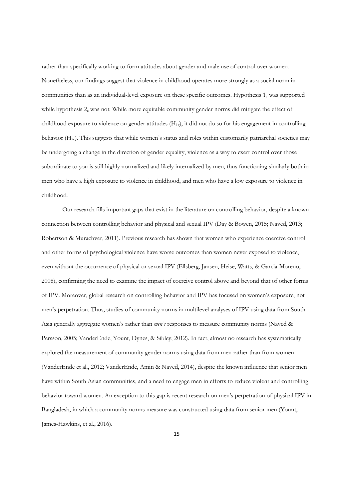rather than specifically working to form attitudes about gender and male use of control over women. Nonetheless, our findings suggest that violence in childhood operates more strongly as a social norm in communities than as an individual-level exposure on these specific outcomes. Hypothesis  $1<sub>c</sub>$  was supported while hypothesis  $2<sub>c</sub>$  was not. While more equitable community gender norms did mitigate the effect of childhood exposure to violence on gender attitudes (H1c), it did not do so for his engagement in controlling behavior  $(H_{2c})$ . This suggests that while women's status and roles within customarily patriarchal societies may be undergoing a change in the direction of gender equality, violence as a way to exert control over those subordinate to you is still highly normalized and likely internalized by men, thus functioning similarly both in men who have a high exposure to violence in childhood, and men who have a low exposure to violence in childhood.

Our research fills important gaps that exist in the literature on controlling behavior, despite a known connection between controlling behavior and physical and sexual IPV (Day & Bowen, 2015; Naved, 2013; Robertson & Murachver, 2011). Previous research has shown that women who experience coercive control and other forms of psychological violence have worse outcomes than women never exposed to violence, even without the occurrence of physical or sexual IPV (Ellsberg, Jansen, Heise, Watts, & Garcia-Moreno, 2008), confirming the need to examine the impact of coercive control above and beyond that of other forms of IPV. Moreover, global research on controlling behavior and IPV has focused on women's exposure, not men's perpetration. Thus, studies of community norms in multilevel analyses of IPV using data from South Asia generally aggregate women's rather than *men's* responses to measure community norms (Naved & Persson, 2005; VanderEnde, Yount, Dynes, & Sibley, 2012). In fact, almost no research has systematically explored the measurement of community gender norms using data from men rather than from women (VanderEnde et al., 2012; VanderEnde, Amin & Naved, 2014), despite the known influence that senior men have within South Asian communities, and a need to engage men in efforts to reduce violent and controlling behavior toward women. An exception to this gap is recent research on men's perpetration of physical IPV in Bangladesh, in which a community norms measure was constructed using data from senior men (Yount, James-Hawkins, et al., 2016).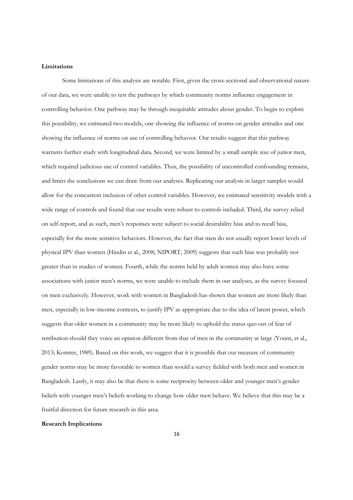#### **Limitations**

Some limitations of this analysis are notable. First, given the cross-sectional and observational nature of our data, we were unable to test the pathways by which community norms influence engagement in controlling behavior. One pathway may be through inequitable attitudes about gender. To begin to explore this possibility, we estimated two models, one showing the influence of norms on gender attitudes and one showing the influence of norms on use of controlling behavior. Our results suggest that this pathway warrants further study with longitudinal data. Second, we were limited by a small sample size of junior men, which required judicious use of control variables. Thus, the possibility of uncontrolled confounding remains, and limits the conclusions we can draw from our analyses. Replicating our analysis in larger samples would allow for the concurrent inclusion of other control variables. However, we estimated sensitivity models with a wide range of controls and found that our results were robust to controls included. Third, the survey relied on self-report, and as such, men's responses were subject to social desirability bias and to recall bias, especially for the more sensitive behaviors. However, the fact that men do not usually report lower levels of physical IPV than women (Hindin et al., 2008; NIPORT, 2009) suggests that such bias was probably not greater than in studies of women. Fourth, while the norms held by adult women may also have some associations with junior men's norms, we were unable to include them in our analyses, as the survey focused on men exclusively. However, work with women in Bangladesh has shown that women are more likely than men, especially in low-income contexts, to justify IPV as appropriate due to the idea of latent power, which suggests that older women in a community may be more likely to uphold the status quo out of fear of retribution should they voice an opinion different from that of men in the community at large (Yount, et al., 2013; Komter, 1989). Based on this work, we suggest that it is possible that our measure of community gender norms may be more favorable to women than would a survey fielded with both men and women in Bangladesh. Lastly, it may also be that there is some reciprocity between older and younger men's gender beliefs with younger men's beliefs working to change how older men behave. We believe that this may be a fruitful direction for future research in this area.

#### **Research Implications**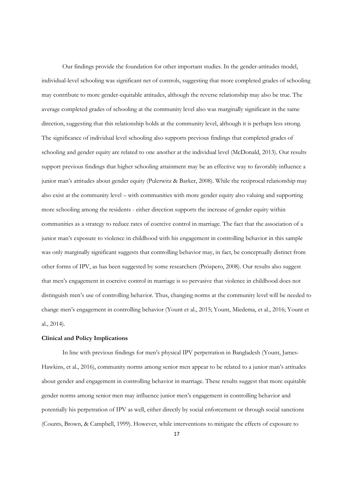Our findings provide the foundation for other important studies. In the gender-attitudes model, individual-level schooling was significant net of controls, suggesting that more completed grades of schooling may contribute to more gender-equitable attitudes, although the reverse relationship may also be true. The average completed grades of schooling at the community level also was marginally significant in the same direction, suggesting that this relationship holds at the community level, although it is perhaps less strong. The significance of individual level schooling also supports previous findings that completed grades of schooling and gender equity are related to one another at the individual level (McDonald, 2013). Our results support previous findings that higher schooling attainment may be an effective way to favorably influence a junior man's attitudes about gender equity (Pulerwitz & Barker, 2008). While the reciprocal relationship may also exist at the community level – with communities with more gender equity also valuing and supporting more schooling among the residents - either direction supports the increase of gender equity within communities as a strategy to reduce rates of coercive control in marriage. The fact that the association of a junior man's exposure to violence in childhood with his engagement in controlling behavior in this sample was only marginally significant suggests that controlling behavior may, in fact, be conceptually distinct from other forms of IPV, as has been suggested by some researchers (Próspero, 2008). Our results also suggest that men's engagement in coercive control in marriage is so pervasive that violence in childhood does not distinguish men's use of controlling behavior. Thus, changing norms at the community level will be needed to change men's engagement in controlling behavior (Yount et al., 2015; Yount, Miedema, et al., 2016; Yount et al., 2014).

#### **Clinical and Policy Implications**

In line with previous findings for men's physical IPV perpetration in Bangladesh (Yount, James-Hawkins, et al., 2016), community norms among senior men appear to be related to a junior man's attitudes about gender and engagement in controlling behavior in marriage. These results suggest that more equitable gender norms among senior men may influence junior men's engagement in controlling behavior and potentially his perpetration of IPV as well, either directly by social enforcement or through social sanctions (Counts, Brown, & Campbell, 1999). However, while interventions to mitigate the effects of exposure to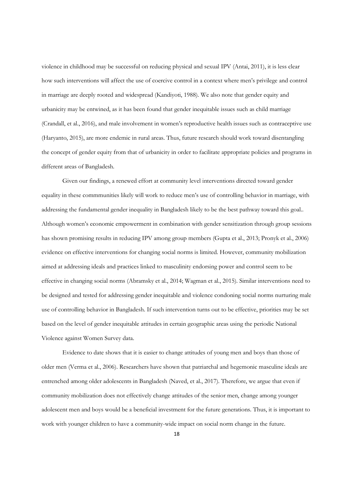violence in childhood may be successful on reducing physical and sexual IPV (Antai, 2011), it is less clear how such interventions will affect the use of coercive control in a context where men's privilege and control in marriage are deeply rooted and widespread (Kandiyoti, 1988). We also note that gender equity and urbanicity may be entwined, as it has been found that gender inequitable issues such as child marriage (Crandall, et al., 2016), and male involvement in women's reproductive health issues such as contraceptive use (Haryanto, 2015), are more endemic in rural areas. Thus, future research should work toward disentangling the concept of gender equity from that of urbanicity in order to facilitate appropriate policies and programs in different areas of Bangladesh.

Given our findings, a renewed effort at community level interventions directed toward gender equality in these commmunities likely will work to reduce men's use of controlling behavior in marriage, with addressing the fundamental gender inequality in Bangladesh likely to be the best pathway toward this goal.. Although women's economic empowerment in combination with gender sensitization through group sessions has shown promising results in reducing IPV among group members (Gupta et al., 2013; Pronyk et al., 2006) evidence on effective interventions for changing social norms is limited. However, community mobilization aimed at addressing ideals and practices linked to masculinity endorsing power and control seem to be effective in changing social norms (Abramsky et al., 2014; Wagman et al., 2015). Similar interventions need to be designed and tested for addressing gender inequitable and violence condoning social norms nurturing male use of controlling behavior in Bangladesh. If such intervention turns out to be effective, priorities may be set based on the level of gender inequitable attitudes in certain geographic areas using the periodic National Violence against Women Survey data.

Evidence to date shows that it is easier to change attitudes of young men and boys than those of older men (Verma et al., 2006). Researchers have shown that patriarchal and hegemonic masculine ideals are entrenched among older adolescents in Bangladesh (Naved, et al., 2017). Therefore, we argue that even if community mobilization does not effectively change attitudes of the senior men, change among younger adolescent men and boys would be a beneficial investment for the future generations. Thus, it is important to work with younger children to have a community-wide impact on social norm change in the future.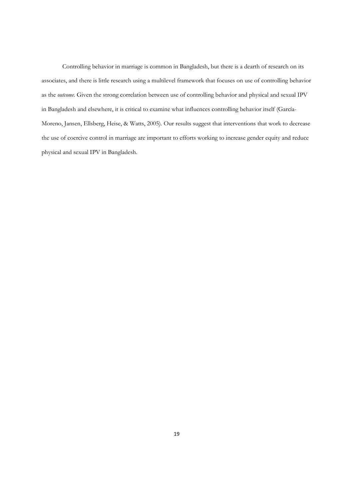Controlling behavior in marriage is common in Bangladesh, but there is a dearth of research on its associates, and there is little research using a multilevel framework that focuses on use of controlling behavior as the *outcome*. Given the strong correlation between use of controlling behavior and physical and sexual IPV in Bangladesh and elsewhere, it is critical to examine what influences controlling behavior itself (García-Moreno, Jansen, Ellsberg, Heise, & Watts, 2005). Our results suggest that interventions that work to decrease the use of coercive control in marriage are important to efforts working to increase gender equity and reduce physical and sexual IPV in Bangladesh.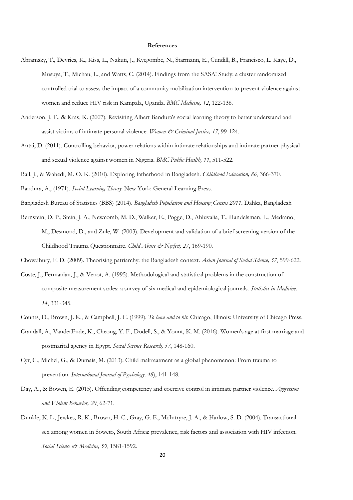# **References**

- Abramsky, T., Devries, K., Kiss, L., Nakuti, J., Kyegombe, N., Starmann, E., Cundill, B., Francisco, L. Kaye, D., Musuya, T., Michau, L., and Watts, C. (2014). Findings from the SASA! Study: a cluster randomized controlled trial to assess the impact of a community mobilization intervention to prevent violence against women and reduce HIV risk in Kampala, Uganda. *BMC Medicine, 12*, 122-138.
- Anderson, J. F., & Kras, K. (2007). Revisiting Albert Bandura's social learning theory to better understand and assist victims of intimate personal violence. *Women & Criminal Justice, 17*, 99-124.
- Antai, D. (2011). Controlling behavior, power relations within intimate relationships and intimate partner physical and sexual violence against women in Nigeria. *BMC Public Health, 11*, 511-522.
- Ball, J., & Wahedi, M. O. K. (2010). Exploring fatherhood in Bangladesh. *Childhood Education, 86*, 366-370.
- Bandura, A., (1971). *Social Learning Theory*. New York: General Learning Press.
- Bangladesh Bureau of Statistics (BBS) (2014). *Bangladesh Population and Housing Census 2011*. Dahka, Bangladesh
- Bernstein, D. P., Stein, J. A., Newcomb, M. D., Walker, E., Pogge, D., Ahluvalia, T., Handelsman, L., Medrano, M., Desmond, D., and Zule, W. (2003). Development and validation of a brief screening version of the Childhood Trauma Questionnaire. *Child Abuse & Neglect, 27*, 169-190.
- Chowdhury, F. D. (2009). Theorising patriarchy: the Bangladesh context. *Asian Journal of Social Science, 37*, 599-622.
- Coste, J., Fermanian, J., & Venot, A. (1995). Methodological and statistical problems in the construction of composite measurement scales: a survey of six medical and epidemiological journals. *Statistics in Medicine, 14*, 331-345.
- Counts, D., Brown, J. K., & Campbell, J. C. (1999). *To have and to hit*: Chicago, Illinois: University of Chicago Press.
- Crandall, A., VanderEnde, K., Cheong, Y. F., Dodell, S., & Yount, K. M. (2016). Women's age at first marriage and postmarital agency in Egypt. *Social Science Research, 57*, 148-160.
- Cyr, C., Michel, G., & Dumais, M. (2013). Child maltreatment as a global phenomenon: From trauma to prevention. *International Journal of Psychology, 48*), 141-148.
- Day, A., & Bowen, E. (2015). Offending competency and coercive control in intimate partner violence. *Aggression and Violent Behavior, 20*, 62-71.
- Dunkle, K. L., Jewkes, R. K., Brown, H. C., Gray, G. E., McIntryre, J. A., & Harlow, S. D. (2004). Transactional sex among women in Soweto, South Africa: prevalence, risk factors and association with HIV infection. *Social Science & Medicine, 59*, 1581-1592.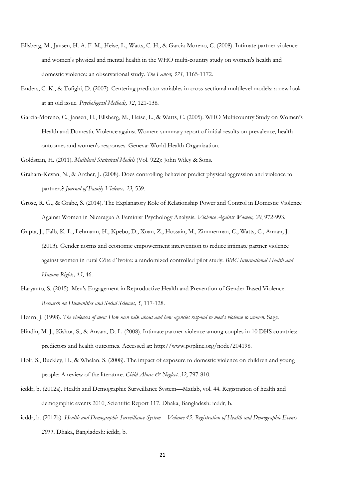- Ellsberg, M., Jansen, H. A. F. M., Heise, L., Watts, C. H., & Garcia-Moreno, C. (2008). Intimate partner violence and women's physical and mental health in the WHO multi-country study on women's health and domestic violence: an observational study. *The Lancet, 371*, 1165-1172.
- Enders, C. K., & Tofighi, D. (2007). Centering predictor variables in cross-sectional multilevel models: a new look at an old issue. *Psychological Methods, 12*, 121-138.
- García-Moreno, C., Jansen, H., Ellsberg, M., Heise, L., & Watts, C. (2005). WHO Multicountry Study on Women's Health and Domestic Violence against Women: summary report of initial results on prevalence, health outcomes and women's responses. Geneva: World Health Organization*.*

Goldstein, H. (2011). *Multilevel Statistical Models* (Vol. 922): John Wiley & Sons.

- Graham-Kevan, N., & Archer, J. (2008). Does controlling behavior predict physical aggression and violence to partners? *Journal of Family Violence, 23*, 539.
- Grose, R. G., & Grabe, S. (2014). The Explanatory Role of Relationship Power and Control in Domestic Violence Against Women in Nicaragua A Feminist Psychology Analysis. *Violence Against Women, 20*, 972-993.
- Gupta, J., Falb, K. L., Lehmann, H., Kpebo, D., Xuan, Z., Hossain, M., Zimmerman, C., Watts, C., Annan, J. (2013). Gender norms and economic empowerment intervention to reduce intimate partner violence against women in rural Côte d'Ivoire: a randomized controlled pilot study. *BMC International Health and Human Rights, 13*, 46.
- Haryanto, S. (2015). Men's Engagement in Reproductive Health and Prevention of Gender-Based Violence. *Research on Humanities and Social Sciences, 5*, 117-128.

Hearn, J. (1998). *The violences of men: How men talk about and how agencies respond to men's violence to women.* Sage.

- Hindin, M. J., Kishor, S., & Ansara, D. L. (2008). Intimate partner violence among couples in 10 DHS countries: predictors and health outcomes. Accessed at: http://www.popline.org/node/204198.
- Holt, S., Buckley, H., & Whelan, S. (2008). The impact of exposure to domestic violence on children and young people: A review of the literature. *Child Abuse & Neglect, 32*, 797-810.
- icddr, b. (2012a). Health and Demographic Surveillance System—Matlab, vol. 44. Registration of health and demographic events 2010, Scientific Report 117. Dhaka, Bangladesh: icddr, b.
- icddr, b. (2012b). *Health and Demographic Surveillance System Volume 45. Registration of Health and Demographic Events 2011*. Dhaka, Bangladesh: icddr, b.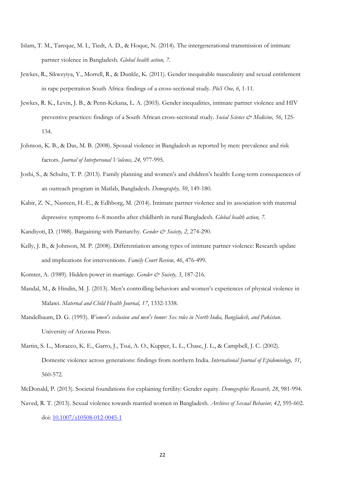- Islam, T. M., Tareque, M. I., Tiedt, A. D., & Hoque, N. (2014). The intergenerational transmission of intimate partner violence in Bangladesh. *Global health action, 7*.
- Jewkes, R., Sikweyiya, Y., Morrell, R., & Dunkle, K. (2011). Gender inequitable masculinity and sexual entitlement in rape perpetration South Africa: findings of a cross-sectional study. *PloS One, 6*, 1-11.
- Jewkes, R. K., Levin, J. B., & Penn-Kekana, L. A. (2003). Gender inequalities, intimate partner violence and HIV preventive practices: findings of a South African cross-sectional study. *Social Science & Medicine, 56*, 125- 134.
- Johnson, K. B., & Das, M. B. (2008). Spousal violence in Bangladesh as reported by men: prevalence and risk factors. *Journal of Interpersonal Violence, 24,* 977-995.
- Joshi, S., & Schultz, T. P. (2013). Family planning and women's and children's health: Long-term consequences of an outreach program in Matlab, Bangladesh. *Demography, 50*, 149-180.
- Kabir, Z. N., Nasreen, H.-E., & Edhborg, M. (2014). Intimate partner violence and its association with maternal depressive symptoms 6–8 months after childbirth in rural Bangladesh. *Global health action, 7*.

Kandiyoti, D. (1988). Bargaining with Patriarchy. *Gender & Society*, 2, 274-290.

- Kelly, J. B., & Johnson, M. P. (2008). Differentiation among types of intimate partner violence: Research update and implications for interventions. *Family Court Review, 46*, 476-499.
- Komter, A. (1989). Hidden power in marriage. *Gender & Society*, 3, 187-216.
- Mandal, M., & Hindin, M. J. (2013). Men's controlling behaviors and women's experiences of physical violence in Malawi. *Maternal and Child Health Journal, 17*, 1332-1338.
- Mandelbaum, D. G. (1993). *Women's seclusion and men's honor: Sex roles in North India, Bangladesh, and Pakistan*. University of Arizona Press.
- Martin, S. L., Moracco, K. E., Garro, J., Tsui, A. O., Kupper, L. L., Chase, J. L., & Campbell, J. C. (2002). Domestic violence across generations: findings from northern India. *International Journal of Epidemiology, 31*, 560-572.
- McDonald, P. (2013). Societal foundations for explaining fertility: Gender equity. *Demographic Research, 28*, 981-994.
- Naved, R. T. (2013). Sexual violence towards married women in Bangladesh. *Archives of Sexual Behavior, 42*, 595-602. doi: 10.1007/s10508-012-0045-1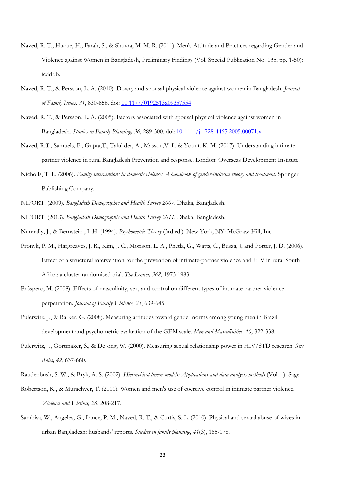- Naved, R. T., Huque, H., Farah, S., & Shuvra, M. M. R. (2011). Men's Attitude and Practices regarding Gender and Violence against Women in Bangladesh, Preliminary Findings (Vol. Special Publication No. 135, pp. 1-50): icddr,b.
- Naved, R. T., & Persson, L. A. (2010). Dowry and spousal physical violence against women in Bangladesh. *Journal of Family Issues, 31*, 830-856. doi: 10.1177/0192513x09357554
- Naved, R. T., & Persson, L. Å. (2005). Factors associated with spousal physical violence against women in Bangladesh. *Studies in Family Planning, 36*, 289-300. doi: 10.1111/j.1728-4465.2005.00071.x
- Naved, R.T., Samuels, F., Gupta,T., Talukder, A., Masson,V. L. & Yount. K. M. (2017). Understanding intimate partner violence in rural Bangladesh Prevention and response. London: Overseas Development Institute.
- Nicholls, T. L. (2006). *Family interventions in domestic violence: A handbook of gender-inclusive theory and treatment*. Springer Publishing Company.
- NIPORT. (2009). *Bangladesh Demographic and Health Survey 2007*. Dhaka, Bangladesh.
- NIPORT. (2013). *Bangladesh Demographic and Health Survey 2011*. Dhaka, Bangladesh.
- Nunnally, J., & Bernstein , I. H. (1994). *Psychometric Theory* (3rd ed.). New York, NY: McGraw-Hill, Inc.
- Pronyk, P. M., Hargreaves, J. R., Kim, J. C., Morison, L. A., Phetla, G., Watts, C., Busza, J, and Porter, J. D. (2006). Effect of a structural intervention for the prevention of intimate-partner violence and HIV in rural South Africa: a cluster randomised trial. *The Lancet, 368*, 1973-1983.
- Próspero, M. (2008). Effects of masculinity, sex, and control on different types of intimate partner violence perpetration. *Journal of Family Violence, 23*, 639-645.
- Pulerwitz, J., & Barker, G. (2008). Measuring attitudes toward gender norms among young men in Brazil development and psychometric evaluation of the GEM scale. *Men and Masculinities, 10*, 322-338.
- Pulerwitz, J., Gortmaker, S., & DeJong, W. (2000). Measuring sexual relationship power in HIV/STD research. *Sex Roles, 42*, 637-660.
- Raudenbush, S. W., & Bryk, A. S. (2002). *Hierarchical linear models: Applications and data analysis methods* (Vol. 1). Sage.
- Robertson, K., & Murachver, T. (2011). Women and men's use of coercive control in intimate partner violence. *Violence and Victims, 26*, 208-217.
- Sambisa, W., Angeles, G., Lance, P. M., Naved, R. T., & Curtis, S. L. (2010). Physical and sexual abuse of wives in urban Bangladesh: husbands' reports. *Studies in family planning*, *41*(3), 165-178.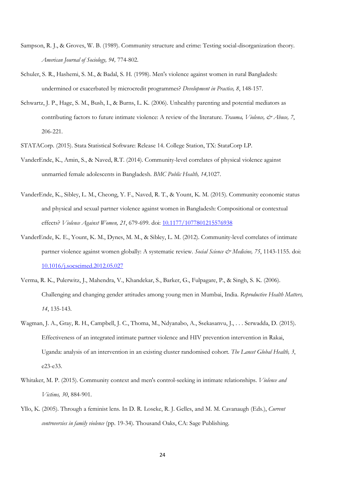- Sampson, R. J., & Groves, W. B. (1989). Community structure and crime: Testing social-disorganization theory. *American Journal of Sociology, 94,* 774-802.
- Schuler, S. R., Hashemi, S. M., & Badal, S. H. (1998). Men's violence against women in rural Bangladesh: undermined or exacerbated by microcredit programmes? *Development in Practice, 8*, 148-157.
- Schwartz, J. P., Hage, S. M., Bush, I., & Burns, L. K. (2006). Unhealthy parenting and potential mediators as contributing factors to future intimate violence: A review of the literature. *Trauma, Violence, & Abuse*, 7, 206-221.
- STATACorp. (2015). Stata Statistical Software: Release 14. College Station, TX: StataCorp LP.
- VanderEnde, K., Amin, S., & Naved, R.T. (2014). Community-level correlates of physical violence against unmarried female adolescents in Bangladesh. *BMC Public Health, 14,*1027.
- VanderEnde, K., Sibley, L. M., Cheong, Y. F., Naved, R. T., & Yount, K. M. (2015). Community economic status and physical and sexual partner violence against women in Bangladesh: Compositional or contextual effects? *Violence Against Women, 21*, 679-699. doi: 10.1177/1077801215576938
- VanderEnde, K. E., Yount, K. M., Dynes, M. M., & Sibley, L. M. (2012). Community-level correlates of intimate partner violence against women globally: A systematic review. *Social Science & Medicine, 75*, 1143-1155. doi: 10.1016/j.socscimed.2012.05.027
- Verma, R. K., Pulerwitz, J., Mahendra, V., Khandekar, S., Barker, G., Fulpagare, P., & Singh, S. K. (2006). Challenging and changing gender attitudes among young men in Mumbai, India. *Reproductive Health Matters, 14*, 135-143.
- Wagman, J. A., Gray, R. H., Campbell, J. C., Thoma, M., Ndyanabo, A., Ssekasanvu, J., . . . Serwadda, D. (2015). Effectiveness of an integrated intimate partner violence and HIV prevention intervention in Rakai, Uganda: analysis of an intervention in an existing cluster randomised cohort. *The Lancet Global Health, 3*, e23-e33.
- Whitaker, M. P. (2015). Community context and men's control-seeking in intimate relationships. *Violence and Victims, 30*, 884-901.
- Yllo, K. (2005). Through a feminist lens. In D. R. Loseke, R. J. Gelles, and M. M. Cavanaugh (Eds.), *Current controversies in family violence* (pp. 19-34). Thousand Oaks, CA: Sage Publishing.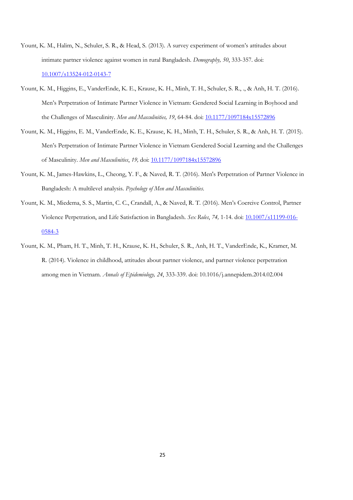- Yount, K. M., Halim, N., Schuler, S. R., & Head, S. (2013). A survey experiment of women's attitudes about intimate partner violence against women in rural Bangladesh. *Demography, 50*, 333-357. doi: 10.1007/s13524-012-0143-7
- Yount, K. M., Higgins, E., VanderEnde, K. E., Krause, K. H., Minh, T. H., Schuler, S. R., ., & Anh, H. T. (2016). Men's Perpetration of Intimate Partner Violence in Vietnam: Gendered Social Learning in Boyhood and the Challenges of Masculinity. *Men and Masculinities, 19*, 64-84. doi: 10.1177/1097184x15572896
- Yount, K. M., Higgins, E. M., VanderEnde, K. E., Krause, K. H., Minh, T. H., Schuler, S. R., & Anh, H. T. (2015). Men's Perpetration of Intimate Partner Violence in Vietnam Gendered Social Learning and the Challenges of Masculinity. *Men and Masculinities*, *19,* doi: 10.1177/1097184x15572896
- Yount, K. M., James-Hawkins, L., Cheong, Y. F., & Naved, R. T. (2016). Men's Perpetration of Partner Violence in Bangladesh: A multilevel analysis. *Psychology of Men and Masculinities*.
- Yount, K. M., Miedema, S. S., Martin, C. C., Crandall, A., & Naved, R. T. (2016). Men's Coercive Control, Partner Violence Perpetration, and Life Satisfaction in Bangladesh. *Sex Roles*, *74,* 1-14. doi: 10.1007/s11199-016- 0584-3
- Yount, K. M., Pham, H. T., Minh, T. H., Krause, K. H., Schuler, S. R., Anh, H. T., VanderEnde, K., Kramer, M. R. (2014). Violence in childhood, attitudes about partner violence, and partner violence perpetration among men in Vietnam. *Annals of Epidemiology, 24*, 333-339. doi: 10.1016/j.annepidem.2014.02.004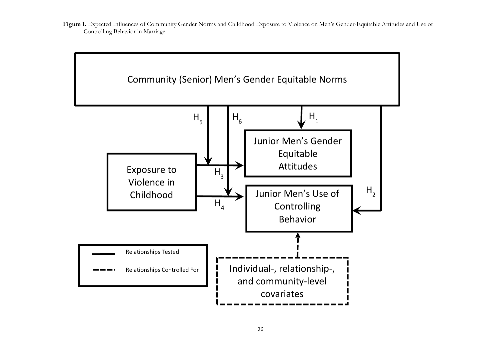Figure 1. Expected Influences of Community Gender Norms and Childhood Exposure to Violence on Men's Gender-Equitable Attitudes and Use of Controlling Behavior in Marriage.

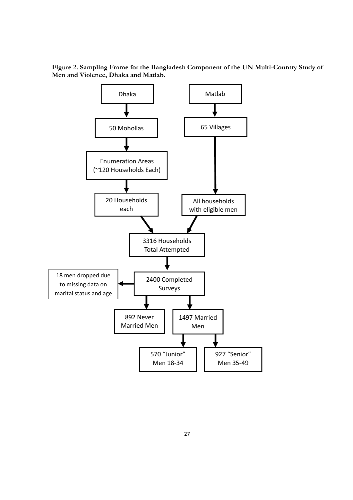

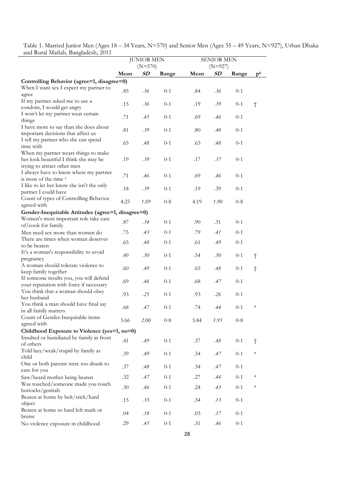Table 1. Married Junior Men (Ages 18 – 34 Years, N=570) and Senior Men (Ages 35 – 49 Years, N=927), Urban Dhaka and Rural Matlab, Bangladesh, 2011  $\overline{\phantom{0}}$ 

|                                                                                    |      | <b>JUNIOR MEN</b><br>$(N=570)$ |         | <b>SENIOR MEN</b> |                        |         |                |
|------------------------------------------------------------------------------------|------|--------------------------------|---------|-------------------|------------------------|---------|----------------|
|                                                                                    | Mean | SD                             | Range   | Mean              | $(N=927)$<br><b>SD</b> | Range   | p <sub>b</sub> |
| Controlling Behavior (agree=1, disagree=0)                                         |      |                                |         |                   |                        |         |                |
| When I want sex I expect my partner to<br>agree                                    | .85  | .36                            | $0 - 1$ | .84               | .36                    | $0 - 1$ |                |
| If my partner asked me to use a                                                    | .15  | .36                            | $0 - 1$ | .19               | .39                    | $0 - 1$ | $\dagger$      |
| condom, I would get angry<br>I won't let my partner wear certain                   | .71  | .45                            | $0 - 1$ | .69               | .46                    | $0 - 1$ |                |
| things<br>I have more to say than she does about                                   | .81  | .39                            | $0 - 1$ | .80               | .40                    | $0 - 1$ |                |
| important decisions that affect us<br>I tell my partner who she can spend          | .65  | .48                            | $0 - 1$ | .63               | $.48\,$                | $0 - 1$ |                |
| time with                                                                          |      |                                |         |                   |                        |         |                |
| When my partner wears things to make<br>her look beautiful I think she may be      | .19  | .39                            | $0 - 1$ | .17               | .37                    | $0 - 1$ |                |
| trying to attract other men<br>I always have to know where my partner              | .71  | .46                            | $0 - 1$ | .69               | .46                    | $0 - 1$ |                |
| is most of the time <sup>a</sup><br>I like to let her know she isn't the only      | .18  | .39                            | $0 - 1$ | .19               | .39                    | $0 - 1$ |                |
| partner I could have<br>Count of types of Controlling Behavior                     | 4.25 | 1.89                           | $0 - 8$ | 4.19              | 1.90                   | $0 - 8$ |                |
| agreed with                                                                        |      |                                |         |                   |                        |         |                |
| Gender-Inequitable Attitudes (agree=1, disagree=0)                                 |      |                                |         |                   |                        |         |                |
| Women's most important role take care<br>of/cook for family                        | .87  | .34                            | $0 - 1$ | .90               | .31                    | $0 - 1$ |                |
| Men need sex more than women do                                                    | .75  | .43                            | $0 - 1$ | .79               | .41                    | $0 - 1$ |                |
| There are times when woman deserves<br>to be beaten                                | .65  | .48                            | $0 - 1$ | .61               | .49                    | $0 - 1$ |                |
| It's a woman's responsibility to avoid<br>pregnancy                                | .49  | .50                            | $0 - 1$ | .54               | .50                    | $0 - 1$ | t              |
| A woman should tolerate violence to<br>keep family together                        | .60  | .49                            | $0 - 1$ | .65               | .48                    | $0 - 1$ | $\dagger$      |
| If someone insults you, you will defend<br>your reputation with force if necessary | .69  | .46                            | $0 - 1$ | .68               | .47                    | $0 - 1$ |                |
| You think that a woman should obey<br>her husband                                  | .93  | .25                            | $0 - 1$ | .93               | .26                    | $0 - 1$ |                |
| You think a man should have final say<br>in all family matters                     | .68  | .47                            | $0 - 1$ | .74               | .44                    | $0 - 1$ | $\ast$         |
| Count of Gender-Inequitable items<br>agreed with                                   | 5.66 | <i>2.00</i>                    | $0-8$   | 5.84              | 1.95                   | $0 - 8$ |                |
| Childhood Exposure to Violence (yes=1, no=0)                                       |      |                                |         |                   |                        |         |                |
| Insulted or humiliated by family in front<br>of others                             | .41  | .49                            | $0 - 1$ | .37               | $.48\,$                | $0 - 1$ | $\dagger$      |
| Told lazy/weak/stupid by family as<br>child                                        | .39  | .49                            | $0 - 1$ | .34               | .47                    | $0 - 1$ | $\ast$         |
| One or both parents were too drunk to<br>care for you                              | .37  | .48                            | $0 - 1$ | .34               | .47                    | $0 - 1$ |                |
| Saw/heard mother being beaten                                                      | .32  | .47                            | $0 - 1$ | .27               | .44                    | $0 - 1$ | $\ast$         |
| Was touched/someone made you touch<br>buttocks/genitals                            | .30  | .46                            | $0 - 1$ | .24               | .43                    | $0 - 1$ | $\ast$         |
| Beaten at home by belt/stick/hard<br>object                                        | .15  | .35                            | $0 - 1$ | .34               | .13                    | $0 - 1$ |                |
| Beaten at home so hard left mark or<br>bruise                                      | .04  | .18                            | $0 - 1$ | .03               | .17                    | $0 - 1$ |                |
| No violence exposure in childhood                                                  | .29  | .45                            | $0 - 1$ | .31               | .46                    | $0 - 1$ |                |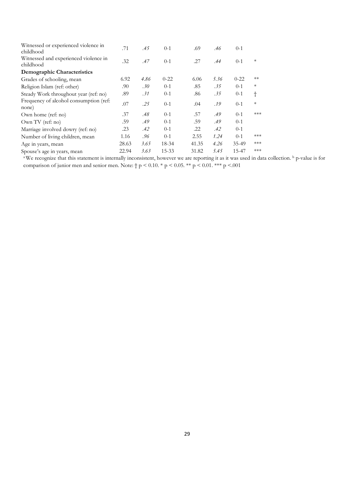| Witnessed or experienced violence in<br>childhood  | .71   | .45  | $0-1$    | .69   | .46  | $0-1$    |        |
|----------------------------------------------------|-------|------|----------|-------|------|----------|--------|
| Witnessed and experienced violence in<br>childhood | .32   | .47  | $0-1$    | .27   | .44  | $0 - 1$  | $\ast$ |
| Demographic Characteristics                        |       |      |          |       |      |          |        |
| Grades of schooling, mean                          | 6.92  | 4.86 | $0 - 22$ | 6.06  | 5.36 | $0 - 22$ | $**$   |
| Religion Islam (ref: other)                        | .90   | .30  | $0-1$    | .85   | .35  | $0-1$    | $\ast$ |
| Steady Work throughout year (ref: no)              | .89   | .31  | $0-1$    | .86   | .35  | $0-1$    | t      |
| Frequency of alcohol consumption (ref:<br>none)    | .07   | .25  | $0-1$    | .04   | .19  | $0-1$    | $\ast$ |
| Own home (ref: no)                                 | .37   | .48  | $0-1$    | .57   | .49  | $0 - 1$  | ***    |
| Own TV (ref: no)                                   | .59   | .49  | $0-1$    | .59   | .49  | $0-1$    |        |
| Marriage involved dowry (ref: no)                  | .23   | .42  | $0-1$    | .22   | .42  | $0-1$    |        |
| Number of living children, mean                    | 1.16  | .96  | $0-1$    | 2.55  | 1.24 | $0 - 1$  | ***    |
| Age in years, mean                                 | 28.63 | 3.65 | 18-34    | 41.35 | 4.26 | 35-49    | ***    |
| Spouse's age in years, mean                        | 22.94 | 3.63 | 15-33    | 31.82 | 5.45 | 15-47    | ***    |

<sup>a</sup>We recognize that this statement is internally inconsistent, however we are reporting it as it was used in data collection. <sup>b</sup> p-value is for comparison of junior men and senior men. Note:  $\dagger p < 0.10$ . \*  $p < 0.05$ . \*\*  $p < 0.01$ . \*\*\*  $p < .001$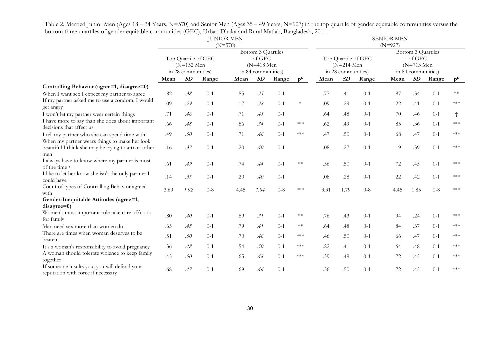|                                                                                                       |                                                           | <b>JUNIOR MEN</b><br>$(N=570)$ |         |                                                                    |      |         | <b>SENIOR MEN</b><br>$(N=927)$                            |      |      |                                                                    |      |      |         |                |
|-------------------------------------------------------------------------------------------------------|-----------------------------------------------------------|--------------------------------|---------|--------------------------------------------------------------------|------|---------|-----------------------------------------------------------|------|------|--------------------------------------------------------------------|------|------|---------|----------------|
|                                                                                                       | Top Quartile of GEC<br>$(N=152$ Men<br>in 28 communities) |                                |         | Bottom 3 Quartiles<br>of GEC<br>$(N=418$ Men<br>in 84 communities) |      |         | Top Quartile of GEC<br>$(N=214$ Men<br>in 28 communities) |      |      | Bottom 3 Quartiles<br>of GEC<br>$(N=713$ Men<br>in 84 communities) |      |      |         |                |
|                                                                                                       | Mean                                                      | SD                             | Range   | Mean                                                               | SD   | Range   | p <sub>b</sub>                                            | Mean | SD   | Range                                                              | Mean | SD   | Range   | p <sub>b</sub> |
| Controlling Behavior (agree=1, disagree=0)                                                            |                                                           |                                |         |                                                                    |      |         |                                                           |      |      |                                                                    |      |      |         |                |
| When I want sex I expect my partner to agree                                                          | $.82\,$                                                   | .38                            | $0-1$   | .85                                                                | .35  | $0-1$   |                                                           | .77  | .41  | $0 - 1$                                                            | .87  | .34  | $0-1$   | $**$           |
| If my partner asked me to use a condom, I would<br>get angry                                          | .09                                                       | .29                            | $0-1$   | .17                                                                | .38  | $0 - 1$ | $\ast$                                                    | .09  | .29  | $0 - 1$                                                            | .22  | .41  | $0 - 1$ | $***$          |
| I won't let my partner wear certain things                                                            | .71                                                       | .46                            | $0-1$   | .71                                                                | .45  | $0 - 1$ |                                                           | .64  | .48  | $0 - 1$                                                            | .70  | .46  | $0 - 1$ | $\dagger$      |
| I have more to say than she does about important<br>decisions that affect us                          | .66                                                       | .48                            | $0-1$   | .86                                                                | .34  | $0 - 1$ | ***                                                       | .62  | .49  | $0 - 1$                                                            | .85  | .36  | $0-1$   | ***            |
| I tell my partner who she can spend time with                                                         | .49                                                       | .50                            | $0-1$   | .71                                                                | .46  | $0 - 1$ | $***$                                                     | .47  | .50  | $0 - 1$                                                            | .68  | .47  | $0-1$   | ***            |
| When my partner wears things to make her look<br>beautiful I think she may be trying to attract other | .16                                                       | .37                            | $0-1$   | .20                                                                | .40  | $0 - 1$ |                                                           | .08  | .27  | $0 - 1$                                                            | .19  | .39  | $0 - 1$ | ***            |
| men<br>I always have to know where my partner is most<br>of the time <sup>a</sup>                     | .61                                                       | .49                            | $0-1$   | .74                                                                | .44  | $0-1$   | $**$                                                      | .56  | .50  | $0 - 1$                                                            | .72  | .45  | $0 - 1$ | ***            |
| I like to let her know she isn't the only partner I<br>could have                                     | .14                                                       | .35                            | $0-1$   | .20                                                                | .40  | $0 - 1$ |                                                           | .08  | .28  | $0 - 1$                                                            | .22  | .42  | $0 - 1$ | ***            |
| Count of types of Controlling Behavior agreed<br>with                                                 | 3.69                                                      | 1.92                           | $0 - 8$ | 4.45                                                               | 1.84 | $0 - 8$ | $***$                                                     | 3.31 | 1.79 | $0 - 8$                                                            | 4.45 | 1.85 | $0 - 8$ | ***            |
| Gender-Inequitable Attitudes (agree=1,                                                                |                                                           |                                |         |                                                                    |      |         |                                                           |      |      |                                                                    |      |      |         |                |
| $disagree=0)$                                                                                         |                                                           |                                |         |                                                                    |      |         |                                                           |      |      |                                                                    |      |      |         |                |
| Women's most important role take care of/cook<br>for family                                           | .80                                                       | .40                            | $0 - 1$ | .89                                                                | .31  | $0 - 1$ | $**$                                                      | .76  | .43  | $0 - 1$                                                            | .94  | .24  | $0 - 1$ | ***            |
| Men need sex more than women do                                                                       | .65                                                       | .48                            | $0-1$   | .79                                                                | .41  | $0 - 1$ | $**$                                                      | .64  | .48  | $0 - 1$                                                            | .84  | .37  | $0 - 1$ | ***            |
| There are times when woman deserves to be<br>beaten                                                   | .51                                                       | .50                            | $0 - 1$ | .70                                                                | .46  | $0 - 1$ | $***$                                                     | .46  | .50  | $0 - 1$                                                            | .66  | .47  | $0-1$   | ***            |
| It's a woman's responsibility to avoid pregnancy                                                      | .36                                                       | .48                            | $0-1$   | .54                                                                | .50  | $0 - 1$ | ***                                                       | .22  | .41  | $0 - 1$                                                            | .64  | .48  | $0-1$   | ***            |
| A woman should tolerate violence to keep family<br>together                                           | .45                                                       | .50                            | $0-1$   | .65                                                                | .48  | $0 - 1$ | $***$                                                     | .39  | .49  | $0 - 1$                                                            | .72  | .45  | $0 - 1$ | ***            |
| If someone insults you, you will defend your<br>reputation with force if necessary                    | .68                                                       | .47                            | $0-1$   | .69                                                                | .46  | $0 - 1$ |                                                           | .56  | .50  | $0 - 1$                                                            | .72  | .45  | $0-1$   | ***            |

Table 2. Married Junior Men (Ages 18 – 34 Years, N=570) and Senior Men (Ages 35 – 49 Years, N=927) in the top quartile of gender equitable communities versus the bottom three quartiles of gender equitable communities (GEC), Urban Dhaka and Rural Matlab, Bangladesh, 2011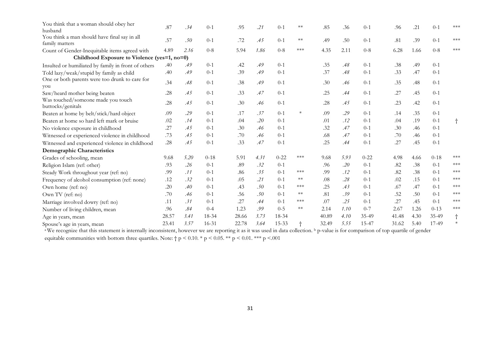| You think that a woman should obey her<br>husband              | .87   | .34  | $0-1$     | .95   | .21  | $0-1$     | $**$      | .85   | .36  | $0 - 1$  | .96   | .21  | $0-1$    | ***        |
|----------------------------------------------------------------|-------|------|-----------|-------|------|-----------|-----------|-------|------|----------|-------|------|----------|------------|
| You think a man should have final say in all<br>family matters | .57   | .50  | $0-1$     | .72   | .45  | $0-1$     | $**$      | .49   | .50  | $0 - 1$  | .81   | .39  | $0 - 1$  | ***        |
| Count of Gender-Inequitable items agreed with                  | 4.89  | 2.16 | $0 - 8$   | 5.94  | 1.86 | $0 - 8$   | ***       | 4.35  | 2.11 | $0 - 8$  | 6.28  | 1.66 | $0 - 8$  | ***        |
| Childhood Exposure to Violence (yes=1, no=0)                   |       |      |           |       |      |           |           |       |      |          |       |      |          |            |
| Insulted or humiliated by family in front of others            | .40   | .49  | $0-1$     | .42   | .49  | $0-1$     |           | .35   | .48  | $0 - 1$  | .38   | .49  | $0-1$    |            |
| Told lazy/weak/stupid by family as child                       | .40   | .49  | $0 - 1$   | .39   | .49  | $0 - 1$   |           | .37   | .48  | $0 - 1$  | .33   | .47  | $0 - 1$  |            |
| One or both parents were too drunk to care for<br>you          | .34   | .48  | $0-1$     | .38   | .49  | $0-1$     |           | .30   | .46  | $0 - 1$  | .35   | .48  | $0-1$    |            |
| Saw/heard mother being beaten                                  | .28   | .45  | $0-1$     | .33   | .47  | $0-1$     |           | .25   | .44  | $0 - 1$  | .27   | .45  | $0 - 1$  |            |
| Was touched/someone made you touch<br>buttocks/genitals        | .28   | .45  | $0-1$     | .30   | .46  | $0-1$     |           | .28   | .45  | $0-1$    | .23   | .42  | $0-1$    |            |
| Beaten at home by belt/stick/hard object                       | .09   | .29  | $0-1$     | .17   | .37  | $0-1$     | $\ast$    | .09   | .29  | $0 - 1$  | .14   | .35  | $0 - 1$  |            |
| Beaten at home so hard left mark or bruise                     | .02   | .14  | $0-1$     | .04   | .20  | $0-1$     |           | .01   | .12  | $0-1$    | .04   | .19  | $0 - 1$  | $\dagger$  |
| No violence exposure in childhood                              | .27   | .45  | $0-1$     | .30   | .46  | $0-1$     |           | .32   | .47  | $0-1$    | .30   | .46  | $0 - 1$  |            |
| Witnessed or experienced violence in childhood                 | .73   | .45  | $0-1$     | .70   | .46  | $0-1$     |           | .68   | .47  | $0-1$    | .70   | .46  | $0 - 1$  |            |
| Witnessed and experienced violence in childhood                | .28   | .45  | $0-1$     | .33   | .47  | $0 - 1$   |           | .25   | .44  | $0 - 1$  | .27   | .45  | $0-1$    |            |
| Demographic Characteristics                                    |       |      |           |       |      |           |           |       |      |          |       |      |          |            |
| Grades of schooling, mean                                      | 9.68  | 5.20 | $0 - 18$  | 5.91  | 4.31 | $0 - 22$  | ***       | 9.68  | 5.93 | $0 - 22$ | 4.98  | 4.66 | $0 - 18$ | ***        |
| Religion Islam (ref: other)                                    | .93   | .26  | $0-1$     | .89   | .32  | $0-1$     |           | .96   | .20  | $0-1$    | .82   | .38  | $0 - 1$  | ***        |
| Steady Work throughout year (ref: no)                          | .99   | .11  | $0-1$     | .86   | .35  | $0-1$     | ***       | .99   | .12  | $0 - 1$  | .82   | .38  | $0 - 1$  | $***$      |
| Frequency of alcohol consumption (ref: none)                   | .12   | .32  | $0-1$     | .05   | .21  | $0-1$     | $**$      | .08   | .28  | $0-1$    | .02   | .15  | $0 - 1$  | ***        |
| Own home (ref: no)                                             | .20   | .40  | $0 - 1$   | .43   | .50  | $0-1$     | ***       | .25   | .43  | $0 - 1$  | .67   | .47  | $0-1$    | ***        |
| Own TV (ref: no)                                               | .70   | .46  | $0-1$     | .56   | .50  | $0-1$     | $**$      | .81   | .39  | $0-1$    | .52   | .50  | $0 - 1$  | $***$      |
| Marriage involved dowry (ref: no)                              | .11   | .31  | $0-1$     | .27   | .44  | $0-1$     | $***$     | .07   | .25  | $0-1$    | .27   | .45  | $0-1$    | ***        |
| Number of living children, mean                                | .96   | .84  | $0 - 4$   | 1.23  | .99  | $0 - 5$   | $**$      | 2.14  | 1.10 | $0 - 7$  | 2.67  | 1.26 | $0 - 13$ | $***$      |
| Age in years, mean                                             | 28.57 | 3.41 | 18-34     | 28.66 | 3.73 | 18-34     |           | 40.89 | 4.10 | 35-49    | 41.48 | 4.30 | 35-49    | $^\dagger$ |
| Spouse's age in years, mean                                    | 23.41 | 3.57 | $16 - 31$ | 22.78 | 3.64 | $15 - 33$ | $\dagger$ | 32.49 | 5.55 | 15-47    | 31.62 | 5.40 | 17-49    | $\ast$     |

<sup>a</sup>We recognize that this statement is internally inconsistent, however we are reporting it as it was used in data collection. <sup>b</sup> p-value is for comparison of top quartile of gender

equitable communities with bottom three quartiles. Note:  $\uparrow p$  < 0.10. \* p < 0.05. \*\* p < 0.01. \*\*\* p < 0.01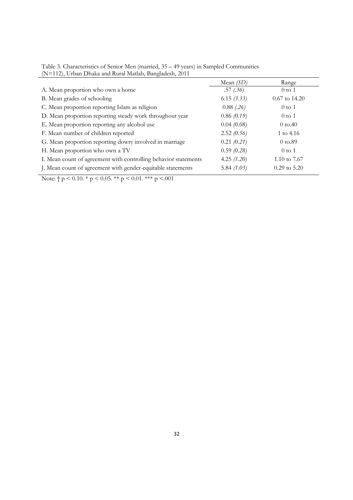|                                                                 | Mean $(SD)$   | Range                |
|-----------------------------------------------------------------|---------------|----------------------|
| A. Mean proportion who own a home                               | .57(.36)      | $0$ to $1$           |
| B. Mean grades of schooling                                     | 6.15(3.33)    | $0.67$ to 14.20      |
| C. Mean proportion reporting Islam as religion                  | $0.88$ (.26)  | $0$ to $1$           |
| D. Mean proportion reporting steady work throughout year        | 0.86(0.19)    | $0$ to $1$           |
| E. Mean proportion reporting any alcohol use                    | 0.04(0.08)    | $0 \text{ to } 40$   |
| F. Mean number of children reported                             | 2.52(0.56)    | 1 to 4.16            |
| G. Mean proportion reporting dowry involved in marriage         | 0.21 (0.21)   | $0 \text{ to } 0.89$ |
| H. Mean proportion who own a TV                                 | 0.59(0.28)    | $0$ to $1$           |
| I. Mean count of agreement with controlling behavior statements | 4.25 $(1.20)$ | 1.10 to 7.67         |
| J. Mean count of agreement with gender-equitable statements     | 5.84 $(1.03)$ | $0.29$ to $5.20$     |

Table 3. Characteristics of Senior Men (married, 35 – 49 years) in Sampled Communities (N=112), Urban Dhaka and Rural Matlab, Bangladesh, 2011

Note:  $\uparrow p \leq 0.10$ . \*  $p \leq 0.05$ . \*\*  $p \leq 0.01$ . \*\*\*  $p \leq 0.01$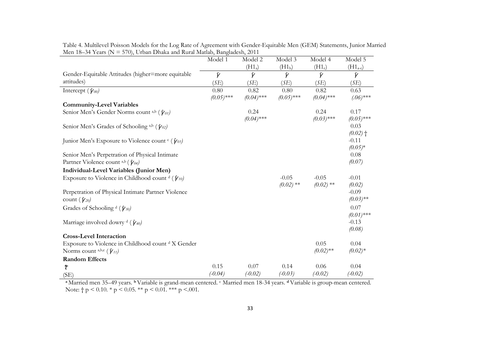|                                                                            | Model 1        | Model 2              | Model 3            | Model 4              | Model 5              |
|----------------------------------------------------------------------------|----------------|----------------------|--------------------|----------------------|----------------------|
|                                                                            |                | (H1 <sub>a</sub> )   | (H1 <sub>b</sub> ) | $(H1_c)$             | $(H1_{a-c})$         |
| Gender-Equitable Attitudes (higher=more equitable                          | $\hat{\gamma}$ | $\hat{\gamma}$       | $\hat{\gamma}$     | $\hat{\gamma}$       | $\hat{\gamma}$       |
| attitudes)                                                                 | (SE)           | (SE)                 | (SE)               | (SE)                 | (SE)                 |
| Intercept $(\hat{\gamma}_{00})$                                            | 0.80           | 0.82                 | 0.80               | 0.82                 | 0.63                 |
|                                                                            | $(0.05)$ ***   | $(0.04)$ ***         | $(0.05)$ ***       | $(0.04)$ ***         | $(0.06)$ ***         |
| <b>Community-Level Variables</b>                                           |                |                      |                    |                      |                      |
| Senior Men's Gender Norms count a,b $(\hat{\gamma}_{01})$                  |                | 0.24<br>$(0.04)$ *** |                    | 0.24<br>$(0.03)$ *** | 0.17<br>$(0.05)$ *** |
| Senior Men's Grades of Schooling a,b ( $\hat{\gamma}_{02}$ )               |                |                      |                    |                      | 0.03<br>$(0.02)$ †   |
| Junior Men's Exposure to Violence count $\epsilon$ ( $\hat{\gamma}_{03}$ ) |                |                      |                    |                      | $-0.11$<br>$(0.05)*$ |
| Senior Men's Perpetration of Physical Intimate                             |                |                      |                    |                      | 0.08                 |
| Partner Violence count a,b ( $\hat{\gamma}_{04}$ )                         |                |                      |                    |                      | (0.07)               |
| Individual-Level Variables (Junior Men)                                    |                |                      |                    |                      |                      |
| Exposure to Violence in Childhood count $\phi$ ( $\hat{\gamma}_{10}$ )     |                |                      | $-0.05$            | $-0.05$              | $-0.01$              |
|                                                                            |                |                      | $(0.02)$ **        | $(0.02)$ **          | (0.02)               |
| Perpetration of Physical Intimate Partner Violence                         |                |                      |                    |                      | $-0.09$              |
| count $(\hat{\gamma}_{20})$                                                |                |                      |                    |                      | $(0.03)$ **          |
| Grades of Schooling $\text{d}(\hat{\gamma}_{30})$                          |                |                      |                    |                      | 0.07                 |
|                                                                            |                |                      |                    |                      | $(0.01)$ ***         |
| Marriage involved dowry <sup>d</sup> ( $\hat{\gamma}_{40}$ )               |                |                      |                    |                      | $-0.13$              |
|                                                                            |                |                      |                    |                      | (0.08)               |
| <b>Cross-Level Interaction</b>                                             |                |                      |                    |                      |                      |
| Exposure to Violence in Childhood count d X Gender                         |                |                      |                    | 0.05                 | 0.04                 |
| Norms count a,b,c $(\hat{\gamma}_{11})$                                    |                |                      |                    | $(0.02)$ **          | $(0.02)*$            |
| <b>Random Effects</b>                                                      |                |                      |                    |                      |                      |
| $\hat{\tau}$                                                               | 0.15           | 0.07                 | 0.14               | 0.06                 | 0.04                 |
| (SE)                                                                       | $(-0.04)$      | $(-0.02)$            | $(-0.03)$          | $(-0.02)$            | $(-0.02)$            |

Table 4. Multilevel Poisson Models for the Log Rate of Agreement with Gender-Equitable Men (GEM) Statements, Junior Married Men 18–34 Years (N = 570), Urban Dhaka and Rural Matlab, Bangladesh, 2011  $\overline{\phantom{0}}$ 

 **<sup>a</sup>**Married men 35–49 years. **b** Variable is grand-mean centered. c Married men 18-34 years. **d** Variable is group-mean centered. Note:  $\dagger p < 0.10$ . \*  $p < 0.05$ . \*\*  $p < 0.01$ . \*\*\*  $p < .001$ .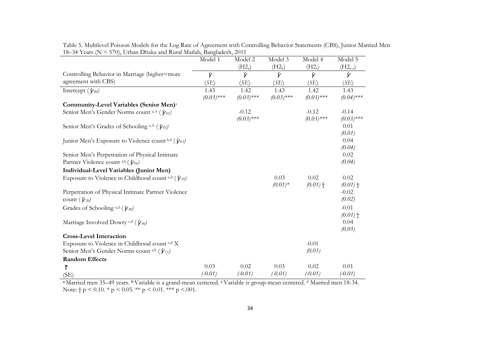|                                                                                | Model 1        | Model 2            | Model 3            | Model 4            | Model 5        |
|--------------------------------------------------------------------------------|----------------|--------------------|--------------------|--------------------|----------------|
|                                                                                |                | (H2 <sub>a</sub> ) | (H2 <sub>b</sub> ) | (H2 <sub>c</sub> ) | $(H2a-c)$      |
| Controlling Behavior in Marriage (higher=more                                  | $\hat{\gamma}$ | $\hat{\gamma}$     | $\hat{\gamma}$     | $\hat{\gamma}$     | $\hat{\gamma}$ |
| agreement with CBS)                                                            | (SE)           | (SE)               | (SE)               | (SE)               | (SE)           |
| Intercept $(\hat{\gamma}_{00})$                                                | 1.43           | 1.42               | 1.43               | 1.42               | 1.43           |
|                                                                                | $(0.03)$ ***   | $(0.03)$ ***       | $(0.03)$ ***       | $(0.03)$ ***       | $(0.04)$ ***   |
| Community-Level Variables (Senior Men) <sup>a</sup>                            |                |                    |                    |                    |                |
| Senior Men's Gender Norms count a, b $(\hat{\gamma}_{01})$                     |                | $-0.12$            |                    | $-0.12$            | $-0.14$        |
|                                                                                |                | $(0.03)$ ***       |                    | $(0.03)$ ***       | $(0.03)$ ***   |
| Senior Men's Grades of Schooling a, b $(\hat{\gamma}_{02})$                    |                |                    |                    |                    | 0.01           |
|                                                                                |                |                    |                    |                    | (0.01)         |
| Junior Men's Exposure to Violence count b,d $(\hat{\gamma}_{03})$              |                |                    |                    |                    | 0.04           |
|                                                                                |                |                    |                    |                    | (0.04)         |
| Senior Men's Perpetration of Physical Intimate                                 |                |                    |                    |                    | 0.02           |
| Partner Violence count a,b $(\hat{\gamma}_{04})$                               |                |                    |                    |                    | (0.04)         |
| Individual-Level Variables (Junior Men)                                        |                |                    |                    |                    |                |
| Exposure to Violence in Childhood count <sup>c,d</sup> ( $\hat{\gamma}_{10}$ ) |                |                    | 0.03               | 0.02               | 0.02           |
|                                                                                |                |                    | $(0.01)^*$         | $(0.01)$ †         | $(0.01)$ †     |
| Perpetration of Physical Intimate Partner Violence                             |                |                    |                    |                    | $-0.02$        |
| count $(\hat{\gamma}_{20})$                                                    |                |                    |                    |                    | (0.02)         |
| Grades of Schooling c,d $(\hat{\gamma}_{30})$                                  |                |                    |                    |                    | $-0.01$        |
|                                                                                |                |                    |                    |                    | $(0.01)$ †     |
| Marriage Involved Dowry c,d $(\hat{\gamma}_{40})$                              |                |                    |                    |                    | 0.04           |
|                                                                                |                |                    |                    |                    | (0.05)         |
| <b>Cross-Level Interaction</b>                                                 |                |                    |                    |                    |                |
| Exposure to Violence in Childhood count c,d X                                  |                |                    |                    | $-0.01$            |                |
| Senior Men's Gender Norms count a,b $(\hat{\gamma}_{11})$                      |                |                    |                    | (0.01)             |                |
| <b>Random Effects</b>                                                          |                |                    |                    |                    |                |
| $\hat{\tau}$                                                                   | 0.03           | 0.02               | 0.03               | 0.02               | 0.01           |
| (SE)                                                                           | $(-0.01)$      | $(-0.01)$          | $(-0.01)$          | $(-0.01)$          | $(-0.01)$      |

Table 5. Multilevel Poisson Models for the Log Rate of Agreement with Controlling Behavior Statements (CBS), Junior Married Men 18–34 Years ( $N = 570$ ), Urban Dhaka and Rural Matlab, Bangladesh, 2011

 **<sup>a</sup>**Married men 35–49 years. **b** Variable is a grand-mean centered. **c** Variable is group-mean centered. d Married men 18-34. Note:  $\dagger p \le 0.10$ . \*  $p \le 0.05$ . \*\*  $p \le 0.01$ . \*\*\*  $p \le 0.01$ .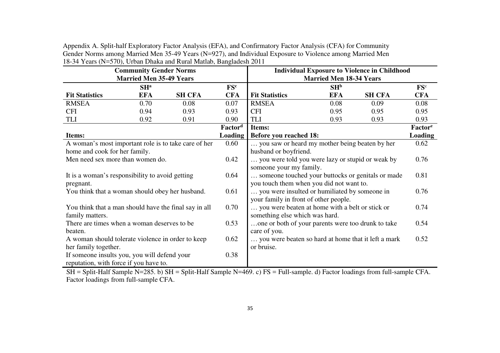|                                                       | <b>Community Gender Norms</b>  |                                                                                                                |                     |                                                         | <b>Individual Exposure to Violence in Childhood</b> |               |                     |  |  |  |  |
|-------------------------------------------------------|--------------------------------|----------------------------------------------------------------------------------------------------------------|---------------------|---------------------------------------------------------|-----------------------------------------------------|---------------|---------------------|--|--|--|--|
|                                                       | <b>Married Men 35-49 Years</b> |                                                                                                                |                     | <b>Married Men 18-34 Years</b>                          |                                                     |               |                     |  |  |  |  |
|                                                       | SH <sup>a</sup>                |                                                                                                                | FS <sup>c</sup>     |                                                         | $SH^b$                                              |               | $\mathbf{FS}^c$     |  |  |  |  |
| <b>Fit Statistics</b>                                 | <b>EFA</b>                     | <b>SH CFA</b>                                                                                                  | <b>CFA</b>          | <b>Fit Statistics</b>                                   | <b>EFA</b>                                          | <b>SH CFA</b> | <b>CFA</b>          |  |  |  |  |
| <b>RMSEA</b>                                          | 0.70                           | 0.08                                                                                                           | 0.07                | <b>RMSEA</b>                                            | 0.08                                                | 0.09          | 0.08                |  |  |  |  |
| <b>CFI</b>                                            | 0.94                           | 0.93                                                                                                           | 0.93                | <b>CFI</b>                                              | 0.95                                                | 0.95          | 0.95                |  |  |  |  |
| <b>TLI</b>                                            | 0.92                           | 0.91                                                                                                           | 0.90                | <b>TLI</b>                                              | 0.93                                                | 0.93          | 0.93                |  |  |  |  |
|                                                       |                                |                                                                                                                | Factor <sup>d</sup> | Items:                                                  |                                                     |               | Factor <sup>e</sup> |  |  |  |  |
| Items:                                                |                                |                                                                                                                | Loading             | <b>Before you reached 18:</b>                           |                                                     |               | Loading             |  |  |  |  |
|                                                       |                                | A woman's most important role is to take care of her<br>0.60<br>you saw or heard my mother being beaten by her |                     |                                                         |                                                     |               |                     |  |  |  |  |
| home and cook for her family.                         |                                |                                                                                                                |                     | husband or boyfriend.                                   |                                                     |               |                     |  |  |  |  |
| Men need sex more than women do.                      |                                |                                                                                                                | 0.42                | you were told you were lazy or stupid or weak by        |                                                     |               | 0.76                |  |  |  |  |
|                                                       |                                |                                                                                                                |                     | someone your my family.                                 |                                                     |               |                     |  |  |  |  |
| It is a woman's responsibility to avoid getting       |                                |                                                                                                                | 0.64                | someone touched your buttocks or genitals or made       |                                                     |               | 0.81                |  |  |  |  |
| pregnant.                                             |                                |                                                                                                                |                     | you touch them when you did not want to.                |                                                     |               |                     |  |  |  |  |
| You think that a woman should obey her husband.       |                                |                                                                                                                | 0.61                | you were insulted or humiliated by someone in<br>0.76   |                                                     |               |                     |  |  |  |  |
|                                                       |                                |                                                                                                                |                     | your family in front of other people.                   |                                                     |               |                     |  |  |  |  |
| You think that a man should have the final say in all |                                |                                                                                                                | 0.70                | 0.74<br>you were beaten at home with a belt or stick or |                                                     |               |                     |  |  |  |  |
| family matters.                                       |                                |                                                                                                                |                     | something else which was hard.                          |                                                     |               |                     |  |  |  |  |
| There are times when a woman deserves to be           |                                |                                                                                                                | 0.53                | one or both of your parents were too drunk to take      |                                                     |               | 0.54                |  |  |  |  |
| beaten.                                               |                                |                                                                                                                |                     | care of you.                                            |                                                     |               |                     |  |  |  |  |
| A woman should tolerate violence in order to keep     |                                |                                                                                                                | 0.62                | you were beaten so hard at home that it left a mark     |                                                     |               | 0.52                |  |  |  |  |
| her family together.                                  |                                |                                                                                                                |                     | or bruise.                                              |                                                     |               |                     |  |  |  |  |
| If someone insults you, you will defend your          |                                |                                                                                                                | 0.38                |                                                         |                                                     |               |                     |  |  |  |  |
| reputation, with force if you have to.                |                                |                                                                                                                |                     |                                                         |                                                     |               |                     |  |  |  |  |

Appendix A. Split-half Exploratory Factor Analysis (EFA), and Confirmatory Factor Analysis (CFA) for Community Gender Norms among Married Men 35-49 Years (N=927), and Individual Exposure to Violence among Married Men 18-34 Years (N=570), Urban Dhaka and Rural Matlab, Bangladesh 2011

 SH = Split-Half Sample N=285. b) SH = Split-Half Sample N=469. c) FS = Full-sample. d) Factor loadings from full-sample CFA. Factor loadings from full-sample CFA.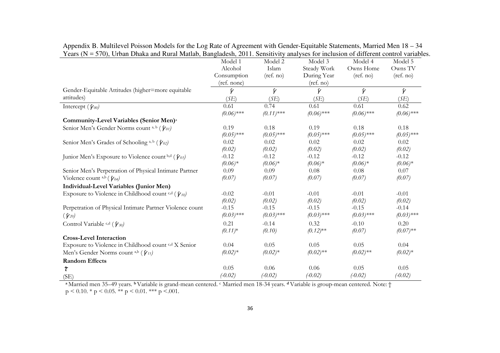| $\epsilon$ , $\epsilon$ , $\epsilon$ , $\epsilon$ , $\epsilon$ , $\epsilon$ , $\epsilon$ , $\epsilon$ , $\epsilon$ , $\epsilon$ , $\epsilon$ , $\epsilon$ , $\epsilon$ , $\epsilon$ , $\epsilon$ , $\epsilon$ , $\epsilon$ , $\epsilon$ , $\epsilon$ , $\epsilon$ , $\epsilon$ , $\epsilon$ , $\epsilon$ , $\epsilon$ , $\epsilon$ , $\epsilon$ , $\epsilon$ , $\epsilon$ , $\epsilon$ , $\epsilon$ , $\epsilon$ , $\epsilon$ | Model 1        | Model 2        | anaryoob for morabion or anterent control variable<br>Model 3 | Model 4        | Model 5        |
|-------------------------------------------------------------------------------------------------------------------------------------------------------------------------------------------------------------------------------------------------------------------------------------------------------------------------------------------------------------------------------------------------------------------------------|----------------|----------------|---------------------------------------------------------------|----------------|----------------|
|                                                                                                                                                                                                                                                                                                                                                                                                                               | Alcohol        | Islam          | Steady Work                                                   | Owns Home      | Owns TV        |
|                                                                                                                                                                                                                                                                                                                                                                                                                               | Consumption    | (ref. no)      | During Year                                                   | (ref. no)      | (ref. no)      |
|                                                                                                                                                                                                                                                                                                                                                                                                                               | (ref. none)    |                | (ref. no)                                                     |                |                |
| Gender-Equitable Attitudes (higher=more equitable                                                                                                                                                                                                                                                                                                                                                                             | $\hat{\gamma}$ | $\hat{\gamma}$ | $\hat{\gamma}$                                                | $\hat{\gamma}$ | $\hat{\gamma}$ |
| attitudes)                                                                                                                                                                                                                                                                                                                                                                                                                    | (SE)           | (SE)           | (SE)                                                          | (SE)           | (SE)           |
| Intercept ( $\hat{\gamma}_{00}$ )                                                                                                                                                                                                                                                                                                                                                                                             | 0.61           | 0.74           | 0.61                                                          | 0.61           | 0.62           |
|                                                                                                                                                                                                                                                                                                                                                                                                                               | $(0.06)$ ***   | $(0.11)$ ***   | $(0.06)$ ***                                                  | $(0.06)$ ***   | $(0.06)$ ***   |
| Community-Level Variables (Senior Men) <sup>a</sup>                                                                                                                                                                                                                                                                                                                                                                           |                |                |                                                               |                |                |
| Senior Men's Gender Norms count a, b ( $\hat{\gamma}_{01}$ )                                                                                                                                                                                                                                                                                                                                                                  | 0.19           | 0.18           | 0.19                                                          | 0.18           | 0.18           |
|                                                                                                                                                                                                                                                                                                                                                                                                                               | $(0.05)$ ***   | $(0.05)$ ***   | $(0.05)$ ***                                                  | $(0.05)$ ***   | $(0.05)$ ***   |
| Senior Men's Grades of Schooling a, b ( $\hat{\gamma}_{02}$ )                                                                                                                                                                                                                                                                                                                                                                 | 0.02           | 0.02           | 0.02                                                          | 0.02           | 0.02           |
|                                                                                                                                                                                                                                                                                                                                                                                                                               | (0.02)         | (0.02)         | (0.02)                                                        | (0.02)         | (0.02)         |
| Junior Men's Exposure to Violence count b,d $(\hat{\gamma}_{03})$                                                                                                                                                                                                                                                                                                                                                             | $-0.12$        | $-0.12$        | $-0.12$                                                       | $-0.12$        | $-0.12$        |
|                                                                                                                                                                                                                                                                                                                                                                                                                               | $(0.06)*$      | $(0.06)^*$     | $(0.06)^*$                                                    | $(0.06)*$      | $(0.06)*$      |
| Senior Men's Perpetration of Physical Intimate Partner                                                                                                                                                                                                                                                                                                                                                                        | 0.09           | 0.09           | 0.08                                                          | 0.08           | 0.07           |
| Violence count a,b $(\hat{\gamma}_{04})$                                                                                                                                                                                                                                                                                                                                                                                      | (0.07)         | (0.07)         | (0.07)                                                        | (0.07)         | (0.07)         |
| Individual-Level Variables (Junior Men)                                                                                                                                                                                                                                                                                                                                                                                       |                |                |                                                               |                |                |
| Exposure to Violence in Childhood count $c,d$ ( $\hat{\gamma}_{10}$ )                                                                                                                                                                                                                                                                                                                                                         | $-0.02$        | $-0.01$        | $-0.01$                                                       | $-0.01$        | $-0.01$        |
|                                                                                                                                                                                                                                                                                                                                                                                                                               | (0.02)         | (0.02)         | (0.02)                                                        | (0.02)         | (0.02)         |
| Perpetration of Physical Intimate Partner Violence count                                                                                                                                                                                                                                                                                                                                                                      | $-0.15$        | $-0.15$        | $-0.15$                                                       | $-0.15$        | $-0.14$        |
| $(\hat{\gamma}_{20})$                                                                                                                                                                                                                                                                                                                                                                                                         | $(0.03)$ ***   | $(0.03)$ ***   | $(0.03)$ ***                                                  | $(0.03)$ ***   | $(0.03)$ ***   |
| Control Variable $c,d$ ( $\hat{\gamma}_{30}$ )                                                                                                                                                                                                                                                                                                                                                                                | 0.21           | $-0.14$        | 0.32                                                          | $-0.10$        | 0.20           |
|                                                                                                                                                                                                                                                                                                                                                                                                                               | $(0.11)^*$     | (0.10)         | $(0.12)$ **                                                   | (0.07)         | $(0.07)$ **    |
| <b>Cross-Level Interaction</b>                                                                                                                                                                                                                                                                                                                                                                                                |                |                |                                                               |                |                |
| Exposure to Violence in Childhood count c,d X Senior                                                                                                                                                                                                                                                                                                                                                                          | 0.04           | 0.05           | 0.05                                                          | 0.05           | 0.04           |
| Men's Gender Norms count a,b $(\hat{\gamma}_{11})$                                                                                                                                                                                                                                                                                                                                                                            | $(0.02)*$      | $(0.02)*$      | $(0.02)$ **                                                   | $(0.02)$ **    | $(0.02)*$      |
| <b>Random Effects</b>                                                                                                                                                                                                                                                                                                                                                                                                         |                |                |                                                               |                |                |
| $\hat{\tau}$                                                                                                                                                                                                                                                                                                                                                                                                                  | 0.05           | 0.06           | 0.06                                                          | 0.05           | 0.05           |
| (SE)                                                                                                                                                                                                                                                                                                                                                                                                                          | $(-0.02)$      | $(-0.02)$      | $(-0.02)$                                                     | $(-0.02)$      | $(-0.02)$      |

Appendix B. Multilevel Poisson Models for the Log Rate of Agreement with Gender-Equitable Statements, Married Men 18 – 34 Years (N = 570), Urban Dhaka and Rural Matlab, Bangladesh, 2011. Sensitivity analyses for inclusion of different control variables.

 **<sup>a</sup>**Married men 35–49 years. **b** Variable is grand-mean centered. c Married men 18-34 years. **d** Variable is group-mean centered. Note: †  $p < 0.10.$  \*  $p < 0.05.$  \*\*  $p < 0.01.$  \*\*\*  $p < 0.01.$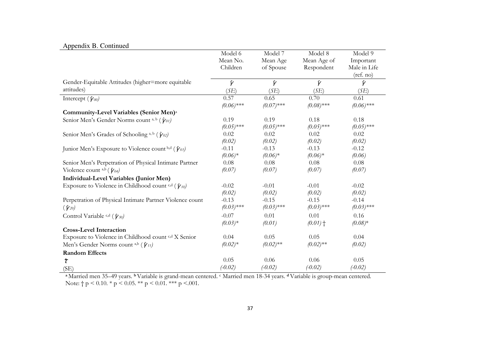|  |  | Appendix B. Continued |
|--|--|-----------------------|
|--|--|-----------------------|

|                                                                     | Model 6        | Model 7        | Model 8        | Model 9        |
|---------------------------------------------------------------------|----------------|----------------|----------------|----------------|
|                                                                     | Mean No.       | Mean Age       | Mean Age of    | Important      |
|                                                                     | Children       | of Spouse      | Respondent     | Male in Life   |
|                                                                     |                |                |                | (ref. no)      |
| Gender-Equitable Attitudes (higher=more equitable                   | $\hat{\gamma}$ | $\hat{\gamma}$ | $\hat{\gamma}$ | $\hat{\gamma}$ |
| attitudes)                                                          | (SE)           | (SE)           | (SE)           | (SE)           |
| Intercept $(\hat{\gamma}_{00})$                                     | 0.57           | 0.65           | 0.70           | 0.61           |
|                                                                     | $(0.06)$ ***   | $(0.07)$ ***   | $(0.08)$ ***   | $(0.06)$ ***   |
| Community-Level Variables (Senior Men) <sup>a</sup>                 |                |                |                |                |
| Senior Men's Gender Norms count a, b $(\hat{\gamma}_{01})$          | 0.19           | 0.19           | 0.18           | 0.18           |
|                                                                     | $(0.05)$ ***   | $(0.05)$ ***   | $(0.05)$ ***   | $(0.05)$ ***   |
| Senior Men's Grades of Schooling a, b ( $\hat{\gamma}_{02}$ )       | 0.02           | 0.02           | 0.02           | 0.02           |
|                                                                     | (0.02)         | (0.02)         | (0.02)         | (0.02)         |
| Junior Men's Exposure to Violence count b,d $(\hat{\gamma}_{03})$   | $-0.11$        | $-0.13$        | $-0.13$        | $-0.12$        |
|                                                                     | $(0.06)*$      | $(0.06)^*$     | $(0.06)*$      | (0.06)         |
| Senior Men's Perpetration of Physical Intimate Partner              | 0.08           | 0.08           | 0.08           | 0.08           |
| Violence count a,b $(\hat{\gamma}_{04})$                            | (0.07)         | (0.07)         | (0.07)         | (0.07)         |
| Individual-Level Variables (Junior Men)                             |                |                |                |                |
| Exposure to Violence in Childhood count c,d ( $\hat{\gamma}_{10}$ ) | $-0.02$        | $-0.01$        | $-0.01$        | $-0.02$        |
|                                                                     | (0.02)         | (0.02)         | (0.02)         | (0.02)         |
| Perpetration of Physical Intimate Partner Violence count            | $-0.13$        | $-0.15$        | $-0.15$        | $-0.14$        |
| $(\hat{\gamma}_{20})$                                               | $(0.03)$ ***   | $(0.03)$ ***   | $(0.03)$ ***   | $(0.03)$ ***   |
| Control Variable $c,d$ ( $\hat{\gamma}_{30}$ )                      | $-0.07$        | 0.01           | 0.01           | 0.16           |
|                                                                     | $(0.03)*$      | (0.01)         | $(0.01)$ †     | $(0.08)*$      |
| <b>Cross-Level Interaction</b>                                      |                |                |                |                |
| Exposure to Violence in Childhood count <sup>c,d</sup> X Senior     | 0.04           | 0.05           | 0.05           | 0.04           |
| Men's Gender Norms count a,b $(\hat{\gamma}_{11})$                  | $(0.02)*$      | $(0.02)$ **    | $(0.02)$ **    | (0.02)         |
| <b>Random Effects</b>                                               |                |                |                |                |
| $\hat{\tau}$                                                        | 0.05           | 0.06           | 0.06           | 0.05           |
| (SE)                                                                | $(-0.02)$      | $(-0.02)$      | $(-0.02)$      | $(-0.02)$      |
|                                                                     |                |                |                |                |

 **<sup>a</sup>**Married men 35–49 years. **b** Variable is grand-mean centered. c Married men 18-34 years. **d** Variable is group-mean centered. Note:  $\dagger p < 0.10$ . \*  $p < 0.05$ . \*\*  $p < 0.01$ . \*\*\*  $p < .001$ .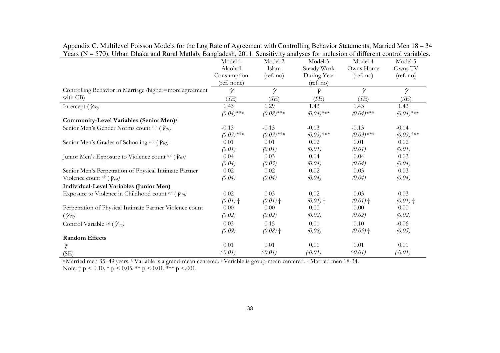| $\sim$ card $\sim$<br>Croan Dinana and Ivaria matrice, Danguacon, 2011. Denotivity anaryoco for incresion of unferent control variable | Model 1        | Model 2        | Model 3        | Model 4        | Model 5        |
|----------------------------------------------------------------------------------------------------------------------------------------|----------------|----------------|----------------|----------------|----------------|
|                                                                                                                                        | Alcohol        | Islam          | Steady Work    | Owns Home      | Owns TV        |
|                                                                                                                                        | Consumption    | (ref. no)      | During Year    | (ref. no)      | (ref. no)      |
|                                                                                                                                        | (ref. none)    |                | (ref. no)      |                |                |
| Controlling Behavior in Marriage (higher=more agreement                                                                                | $\hat{\gamma}$ | $\hat{\gamma}$ | $\hat{\gamma}$ | $\hat{\gamma}$ | $\hat{\gamma}$ |
| with CB)                                                                                                                               | (SE)           | (SE)           | (SE)           | (SE)           | (SE)           |
| Intercept $(\hat{\gamma}_{00})$                                                                                                        | 1.43           | 1.29           | 1.43           | 1.43           | 1.43           |
|                                                                                                                                        | $(0.04)$ ***   | $(0.08)$ ***   | $(0.04)$ ***   | $(0.04)$ ***   | $(0.04)$ ***   |
| Community-Level Variables (Senior Men) <sup>a</sup>                                                                                    |                |                |                |                |                |
| Senior Men's Gender Norms count a, b $(\hat{\gamma}_{01})$                                                                             | $-0.13$        | $-0.13$        | $-0.13$        | $-0.13$        | $-0.14$        |
|                                                                                                                                        | $(0.03)$ ***   | $(0.03)$ ***   | $(0.03)$ ***   | $(0.03)$ ***   | $(0.03)$ ***   |
| Senior Men's Grades of Schooling a, b $(\hat{\gamma}_{02})$                                                                            | 0.01           | 0.01           | 0.02           | 0.01           | 0.02           |
|                                                                                                                                        | (0.01)         | (0.01)         | (0.01)         | (0.01)         | (0.01)         |
| Junior Men's Exposure to Violence count b,d $(\hat{\gamma}_{03})$                                                                      | 0.04           | 0.03           | 0.04           | 0.04           | 0.03           |
|                                                                                                                                        | (0.04)         | (0.03)         | (0.04)         | (0.04)         | (0.04)         |
| Senior Men's Perpetration of Physical Intimate Partner                                                                                 | 0.02           | 0.02           | 0.02           | 0.03           | 0.03           |
| Violence count <sup>a,b</sup> ( $\hat{\gamma}_{04}$ )                                                                                  | (0.04)         | (0.04)         | (0.04)         | (0.04)         | (0.04)         |
| Individual-Level Variables (Junior Men)                                                                                                |                |                |                |                |                |
| Exposure to Violence in Childhood count <sup>c,d</sup> ( $\hat{\gamma}_{10}$ )                                                         | 0.02           | 0.03           | 0.02           | 0.03           | 0.03           |
|                                                                                                                                        | $(0.01)$ †     | $(0.01)$ †     | $(0.01)$ †     | $(0.01)$ †     | $(0.01)$ †     |
| Perpetration of Physical Intimate Partner Violence count                                                                               | 0.00           | 0.00           | 0.00           | 0.00           | 0.00           |
| $(\hat{\gamma}_{20})$                                                                                                                  | (0.02)         | (0.02)         | (0.02)         | (0.02)         | (0.02)         |
| Control Variable $c,d$ ( $\hat{\gamma}_{30}$ )                                                                                         | 0.03           | 0.15           | 0.01           | 0.10           | $-0.06$        |
|                                                                                                                                        | (0.09)         | $(0.08)$ †     | (0.08)         | $(0.05)$ †     | (0.05)         |
| <b>Random Effects</b>                                                                                                                  |                |                |                |                |                |
| $\hat{\tau}$                                                                                                                           | 0.01           | 0.01           | 0.01           | 0.01           | 0.01           |
| (SE)                                                                                                                                   | $(-0.01)$      | $(-0.01)$      | $(-0.01)$      | $(-0.01)$      | $(-0.01)$      |

Appendix C. Multilevel Poisson Models for the Log Rate of Agreement with Controlling Behavior Statements, Married Men 18 – 34 Years (N = 570), Urban Dhaka and Rural Matlab, Bangladesh, 2011. Sensitivity analyses for inclusion of different control variables.

**<sup>a</sup>**Married men 35–49 years. **b** Variable is a grand-mean centered. **c** Variable is group-mean centered. d Married men 18-34.

Note:  $\dagger p < 0.10.$  \*  $p < 0.05.$  \*\*  $p < 0.01.$  \*\*\*  $p < .001.$